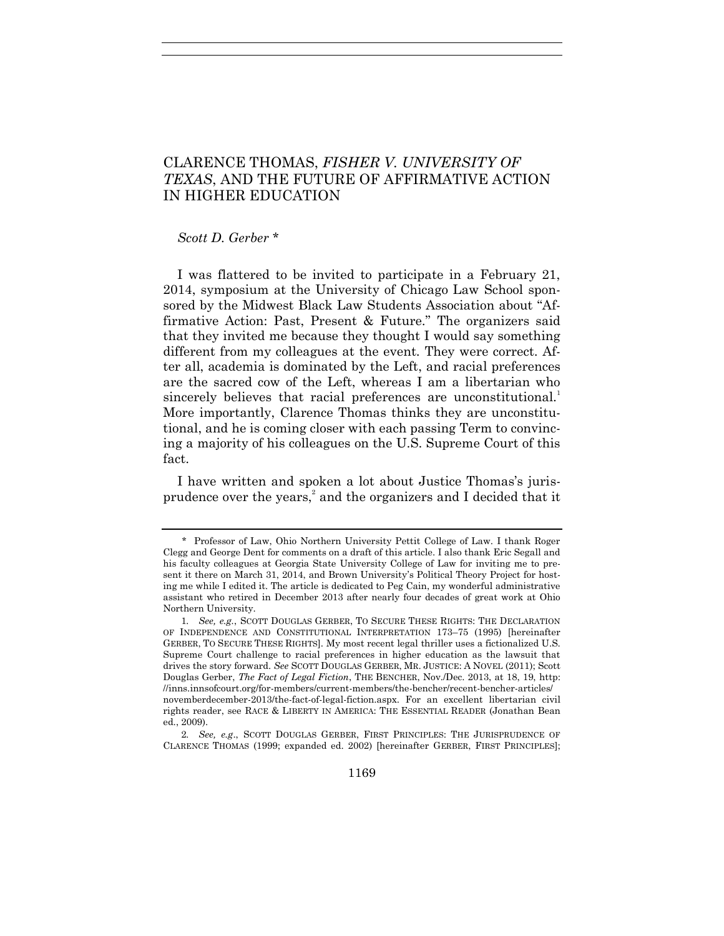# CLARENCE THOMAS, *FISHER V. UNIVERSITY OF TEXAS*, AND THE FUTURE OF AFFIRMATIVE ACTION IN HIGHER EDUCATION

#### *Scott D. Gerber* \*

I was flattered to be invited to participate in a February 21, 2014, symposium at the University of Chicago Law School sponsored by the Midwest Black Law Students Association about "Affirmative Action: Past, Present & Future." The organizers said that they invited me because they thought I would say something different from my colleagues at the event. They were correct. After all, academia is dominated by the Left, and racial preferences are the sacred cow of the Left, whereas I am a libertarian who sincerely believes that racial preferences are unconstitutional.<sup>1</sup> More importantly, Clarence Thomas thinks they are unconstitutional, and he is coming closer with each passing Term to convincing a majority of his colleagues on the U.S. Supreme Court of this fact.

I have written and spoken a lot about Justice Thomas's jurisprudence over the years,<sup>2</sup> and the organizers and I decided that it

<sup>\*</sup> Professor of Law, Ohio Northern University Pettit College of Law. I thank Roger Clegg and George Dent for comments on a draft of this article. I also thank Eric Segall and his faculty colleagues at Georgia State University College of Law for inviting me to present it there on March 31, 2014, and Brown University's Political Theory Project for hosting me while I edited it. The article is dedicated to Peg Cain, my wonderful administrative assistant who retired in December 2013 after nearly four decades of great work at Ohio Northern University.

<sup>1</sup>*. See, e.g.*, SCOTT DOUGLAS GERBER, TO SECURE THESE RIGHTS: THE DECLARATION OF INDEPENDENCE AND CONSTITUTIONAL INTERPRETATION 173–75 (1995) [hereinafter GERBER, TO SECURE THESE RIGHTS]. My most recent legal thriller uses a fictionalized U.S. Supreme Court challenge to racial preferences in higher education as the lawsuit that drives the story forward. *See* SCOTT DOUGLAS GERBER, MR. JUSTICE: A NOVEL (2011); Scott Douglas Gerber, *The Fact of Legal Fiction*, THE BENCHER, Nov./Dec. 2013, at 18, 19, http: //inns.innsofcourt.org/for-members/current-members/the-bencher/recent-bencher-articles/ novemberdecember-2013/the-fact-of-legal-fiction.aspx. For an excellent libertarian civil rights reader, see RACE & LIBERTY IN AMERICA: THE ESSENTIAL READER (Jonathan Bean ed., 2009).

<sup>2</sup>*. See, e.g*., SCOTT DOUGLAS GERBER, FIRST PRINCIPLES: THE JURISPRUDENCE OF CLARENCE THOMAS (1999; expanded ed. 2002) [hereinafter GERBER, FIRST PRINCIPLES];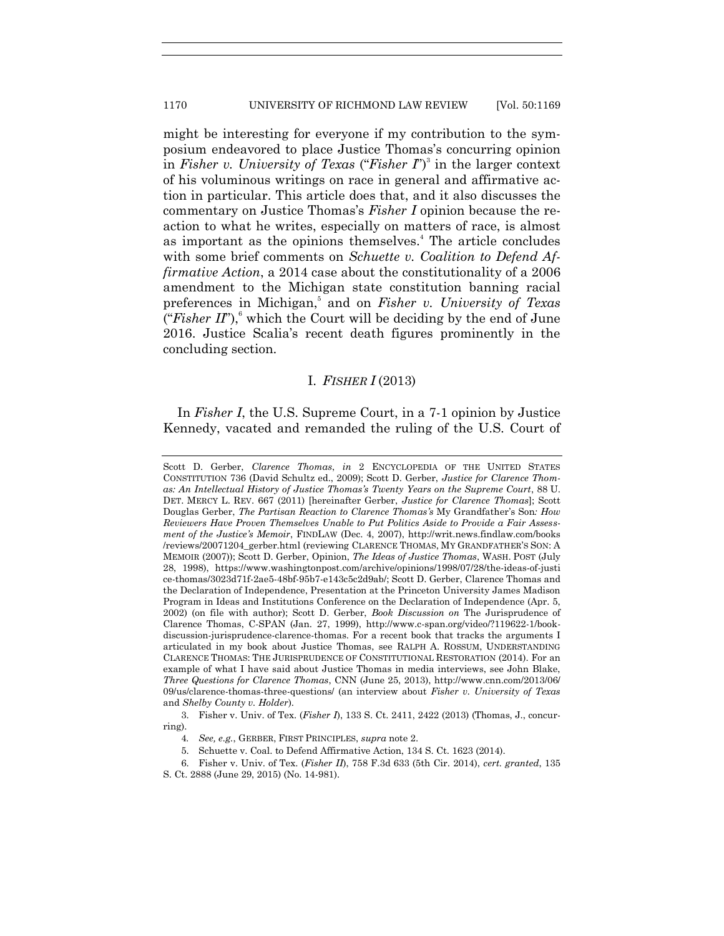might be interesting for everyone if my contribution to the symposium endeavored to place Justice Thomas's concurring opinion in *Fisher v. University of Texas* ("*Fisher*  $I$ ")<sup>3</sup> in the larger context of his voluminous writings on race in general and affirmative action in particular. This article does that, and it also discusses the commentary on Justice Thomas's *Fisher I* opinion because the reaction to what he writes, especially on matters of race, is almost as important as the opinions themselves. <sup>4</sup> The article concludes with some brief comments on *Schuette v. Coalition to Defend Affirmative Action*, a 2014 case about the constitutionality of a 2006 amendment to the Michigan state constitution banning racial preferences in Michigan, 5 and on *Fisher v. University of Texas* ("Fisher II"), $\delta$  which the Court will be deciding by the end of June 2016. Justice Scalia's recent death figures prominently in the concluding section.

#### I. *FISHER I* (2013)

In *Fisher I*, the U.S. Supreme Court, in a 7-1 opinion by Justice Kennedy, vacated and remanded the ruling of the U.S. Court of

3. Fisher v. Univ. of Tex. (*Fisher I*), 133 S. Ct. 2411, 2422 (2013) (Thomas, J., concurring).

Scott D. Gerber, *Clarence Thomas*, *in* 2 ENCYCLOPEDIA OF THE UNITED STATES CONSTITUTION 736 (David Schultz ed., 2009); Scott D. Gerber, *Justice for Clarence Thomas: An Intellectual History of Justice Thomas's Twenty Years on the Supreme Court*, 88 U. DET. MERCY L. REV. 667 (2011) [hereinafter Gerber, *Justice for Clarence Thomas*]; Scott Douglas Gerber, *The Partisan Reaction to Clarence Thomas's* My Grandfather's Son*: How Reviewers Have Proven Themselves Unable to Put Politics Aside to Provide a Fair Assessment of the Justice's Memoir*, FINDLAW (Dec. 4, 2007), http://writ.news.findlaw.com/books /reviews/20071204\_gerber.html (reviewing CLARENCE THOMAS, MY GRANDFATHER'S SON: A MEMOIR (2007)); Scott D. Gerber, Opinion, *The Ideas of Justice Thomas*, WASH. POST (July 28, 1998), https://www.washingtonpost.com/archive/opinions/1998/07/28/the-ideas-of-justi ce-thomas/3023d71f-2ae5-48bf-95b7-e143c5c2d9ab/; Scott D. Gerber, Clarence Thomas and the Declaration of Independence, Presentation at the Princeton University James Madison Program in Ideas and Institutions Conference on the Declaration of Independence (Apr. 5, 2002) (on file with author); Scott D. Gerber, *Book Discussion on* The Jurisprudence of Clarence Thomas, C-SPAN (Jan. 27, 1999), http://www.c-span.org/video/?119622-1/bookdiscussion-jurisprudence-clarence-thomas. For a recent book that tracks the arguments I articulated in my book about Justice Thomas, see RALPH A. ROSSUM, UNDERSTANDING CLARENCE THOMAS: THE JURISPRUDENCE OF CONSTITUTIONAL RESTORATION (2014). For an example of what I have said about Justice Thomas in media interviews, see John Blake, *Three Questions for Clarence Thomas*, CNN (June 25, 2013), http://www.cnn.com/2013/06/ 09/us/clarence-thomas-three-questions/ (an interview about *Fisher v. University of Texas* and *Shelby County v. Holder*).

<sup>4</sup>*. See, e.g.*, GERBER, FIRST PRINCIPLES, *supra* note 2.

<sup>5.</sup> Schuette v. Coal. to Defend Affirmative Action, 134 S. Ct. 1623 (2014).

<sup>6.</sup> Fisher v. Univ. of Tex. (*Fisher II*), 758 F.3d 633 (5th Cir. 2014), *cert. granted*, 135 S. Ct. 2888 (June 29, 2015) (No. 14-981).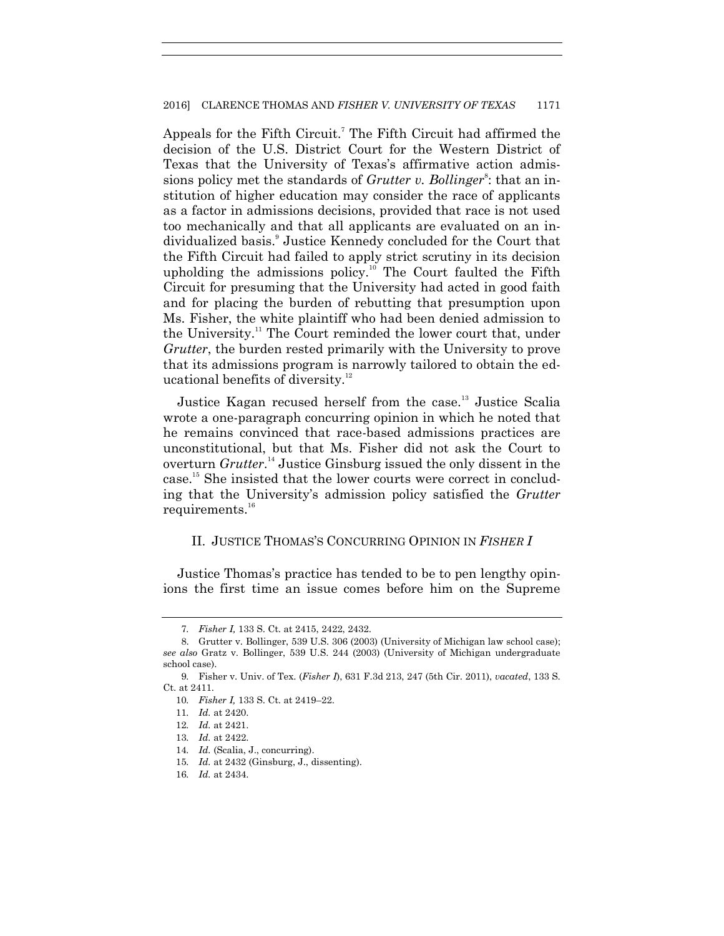Appeals for the Fifth Circuit.<sup>7</sup> The Fifth Circuit had affirmed the decision of the U.S. District Court for the Western District of Texas that the University of Texas's affirmative action admissions policy met the standards of *Grutter v. Bollinger*<sup>8</sup>: that an institution of higher education may consider the race of applicants as a factor in admissions decisions, provided that race is not used too mechanically and that all applicants are evaluated on an individualized basis.<sup>9</sup> Justice Kennedy concluded for the Court that the Fifth Circuit had failed to apply strict scrutiny in its decision upholding the admissions policy.<sup>10</sup> The Court faulted the Fifth Circuit for presuming that the University had acted in good faith and for placing the burden of rebutting that presumption upon Ms. Fisher, the white plaintiff who had been denied admission to the University.<sup>11</sup> The Court reminded the lower court that, under *Grutter*, the burden rested primarily with the University to prove that its admissions program is narrowly tailored to obtain the educational benefits of diversity. $12$ 

Justice Kagan recused herself from the case.<sup>13</sup> Justice Scalia wrote a one-paragraph concurring opinion in which he noted that he remains convinced that race-based admissions practices are unconstitutional, but that Ms. Fisher did not ask the Court to overturn *Grutter*. <sup>14</sup> Justice Ginsburg issued the only dissent in the case. <sup>15</sup> She insisted that the lower courts were correct in concluding that the University's admission policy satisfied the *Grutter* requirements.<sup>16</sup>

### II. JUSTICE THOMAS'S CONCURRING OPINION IN *FISHER I*

Justice Thomas's practice has tended to be to pen lengthy opinions the first time an issue comes before him on the Supreme

<sup>7</sup>*. Fisher I,* 133 S. Ct. at 2415, 2422, 2432.

<sup>8.</sup> Grutter v. Bollinger, 539 U.S. 306 (2003) (University of Michigan law school case); *see also* Gratz v. Bollinger, 539 U.S. 244 (2003) (University of Michigan undergraduate school case).

<sup>9</sup>*.* Fisher v. Univ. of Tex. (*Fisher I*), 631 F.3d 213, 247 (5th Cir. 2011), *vacated*, 133 S. Ct. at 2411.

<sup>10</sup>*. Fisher I,* 133 S. Ct. at 2419–22.

<sup>11</sup>*. Id.* at 2420.

<sup>12</sup>*. Id.* at 2421.

<sup>13</sup>*. Id.* at 2422.

<sup>14</sup>*. Id.* (Scalia, J., concurring).

<sup>15</sup>*. Id.* at 2432 (Ginsburg, J., dissenting).

<sup>16</sup>*. Id.* at 2434.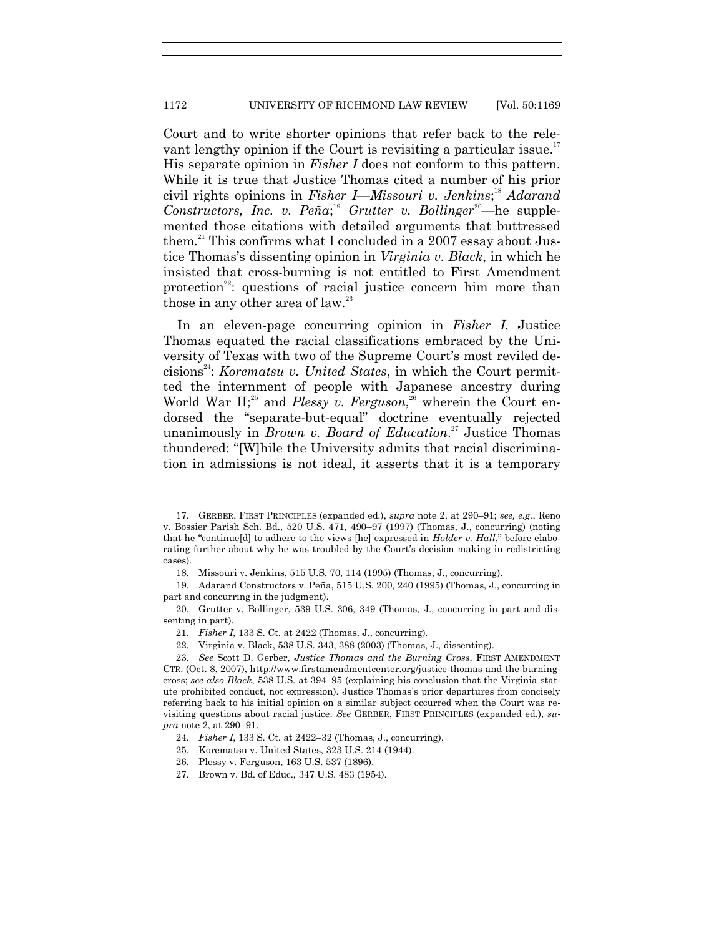Court and to write shorter opinions that refer back to the relevant lengthy opinion if the Court is revisiting a particular issue.<sup>17</sup> His separate opinion in *Fisher I* does not conform to this pattern. While it is true that Justice Thomas cited a number of his prior civil rights opinions in *Fisher I*—*Missouri v. Jenkins*; <sup>18</sup> *Adarand Constructors, Inc. v. Peña*;<sup>19</sup> *Grutter v. Bollinger*<sup>20</sup>—he supplemented those citations with detailed arguments that buttressed them.<sup>21</sup> This confirms what I concluded in a 2007 essay about Justice Thomas's dissenting opinion in *Virginia v. Black*, in which he insisted that cross-burning is not entitled to First Amendment protection<sup>22</sup>: questions of racial justice concern him more than those in any other area of  $law.^{23}$ 

In an eleven-page concurring opinion in *Fisher I*, Justice Thomas equated the racial classifications embraced by the University of Texas with two of the Supreme Court's most reviled decisions<sup>24</sup>: *Korematsu v. United States*, in which the Court permitted the internment of people with Japanese ancestry during World War II;<sup>25</sup> and *Plessy v. Ferguson*,<sup>26</sup> wherein the Court endorsed the "separate-but-equal" doctrine eventually rejected unanimously in *Brown v. Board of Education*. <sup>27</sup> Justice Thomas thundered: "[W]hile the University admits that racial discrimination in admissions is not ideal, it asserts that it is a temporary

<sup>17</sup>*.* GERBER, FIRST PRINCIPLES (expanded ed.), *supra* note 2, at 290–91; *see, e.g.*, Reno v. Bossier Parish Sch. Bd., 520 U.S. 471, 490–97 (1997) (Thomas, J., concurring) (noting that he "continue<sup>[d]</sup> to adhere to the views [he] expressed in *Holder v. Hall*," before elaborating further about why he was troubled by the Court's decision making in redistricting cases).

<sup>18.</sup> Missouri v. Jenkins, 515 U.S. 70, 114 (1995) (Thomas, J., concurring).

<sup>19.</sup> Adarand Constructors v. Peña, 515 U.S. 200, 240 (1995) (Thomas, J., concurring in part and concurring in the judgment).

<sup>20.</sup> Grutter v. Bollinger, 539 U.S. 306, 349 (Thomas, J., concurring in part and dissenting in part).

<sup>21.</sup> *Fisher I*, 133 S. Ct. at 2422 (Thomas, J., concurring).

<sup>22.</sup> Virginia v. Black, 538 U.S. 343, 388 (2003) (Thomas, J., dissenting).

<sup>23</sup>*. See* Scott D. Gerber, *Justice Thomas and the Burning Cross*, FIRST AMENDMENT CTR. (Oct. 8, 2007), http://www.firstamendmentcenter.org/justice-thomas-and-the-burningcross; *see also Black*, 538 U.S. at 394–95 (explaining his conclusion that the Virginia statute prohibited conduct, not expression). Justice Thomas's prior departures from concisely referring back to his initial opinion on a similar subject occurred when the Court was revisiting questions about racial justice. *See* GERBER, FIRST PRINCIPLES (expanded ed.), *supra* note 2, at 290–91.

<sup>24.</sup> *Fisher I*, 133 S. Ct. at 2422–32 (Thomas, J., concurring).

<sup>25</sup>*.* Korematsu v. United States, 323 U.S. 214 (1944).

<sup>26</sup>*.* Plessy v. Ferguson, 163 U.S. 537 (1896).

<sup>27</sup>*.* Brown v. Bd. of Educ., 347 U.S. 483 (1954).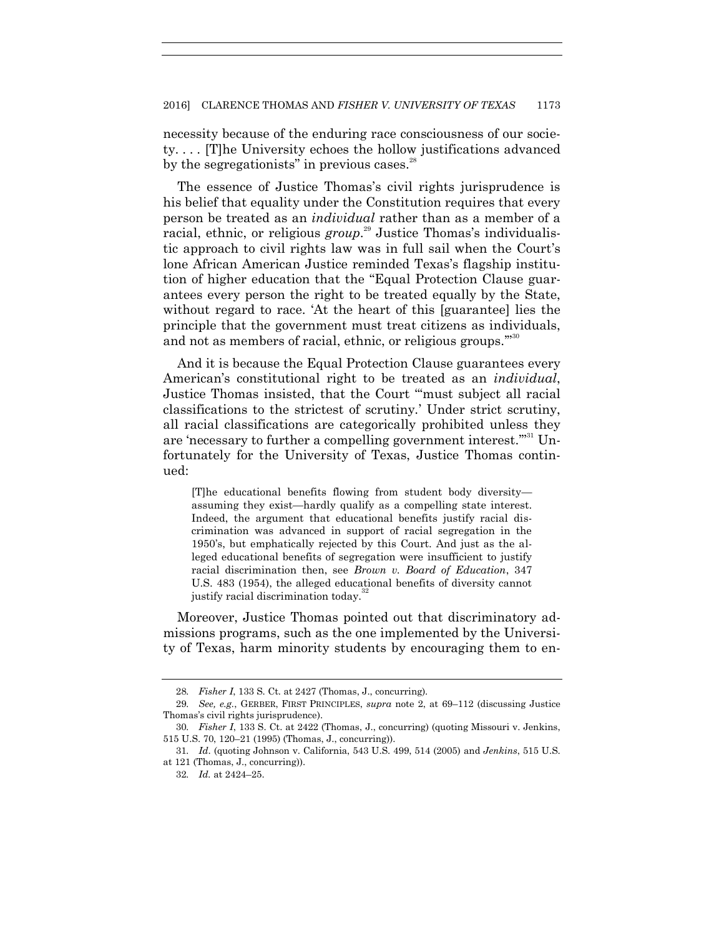necessity because of the enduring race consciousness of our society. . . . [T]he University echoes the hollow justifications advanced by the segregationists" in previous cases. $^{28}$ 

The essence of Justice Thomas's civil rights jurisprudence is his belief that equality under the Constitution requires that every person be treated as an *individual* rather than as a member of a racial, ethnic, or religious *group*. <sup>29</sup> Justice Thomas's individualistic approach to civil rights law was in full sail when the Court's lone African American Justice reminded Texas's flagship institution of higher education that the "Equal Protection Clause guarantees every person the right to be treated equally by the State, without regard to race. At the heart of this [guarantee] lies the principle that the government must treat citizens as individuals, and not as members of racial, ethnic, or religious groups."<sup>30</sup>

And it is because the Equal Protection Clause guarantees every American's constitutional right to be treated as an *individual*, Justice Thomas insisted, that the Court "must subject all racial classifications to the strictest of scrutiny.' Under strict scrutiny, all racial classifications are categorically prohibited unless they are 'necessary to further a compelling government interest."<sup>31</sup> Unfortunately for the University of Texas, Justice Thomas continued:

[T]he educational benefits flowing from student body diversity assuming they exist—hardly qualify as a compelling state interest. Indeed, the argument that educational benefits justify racial discrimination was advanced in support of racial segregation in the 1950's, but emphatically rejected by this Court. And just as the alleged educational benefits of segregation were insufficient to justify racial discrimination then, see *Brown v. Board of Education*, 347 U.S. 483 (1954), the alleged educational benefits of diversity cannot justify racial discrimination today.

Moreover, Justice Thomas pointed out that discriminatory admissions programs, such as the one implemented by the University of Texas, harm minority students by encouraging them to en-

<sup>28</sup>*. Fisher I*, 133 S. Ct. at 2427 (Thomas, J., concurring).

<sup>29</sup>*. See, e.g.*, GERBER, FIRST PRINCIPLES, *supra* note 2, at 69–112 (discussing Justice Thomas's civil rights jurisprudence).

<sup>30</sup>*. Fisher I*, 133 S. Ct. at 2422 (Thomas, J., concurring) (quoting Missouri v. Jenkins, 515 U.S. 70, 120–21 (1995) (Thomas, J., concurring)).

<sup>31</sup>*. Id*. (quoting Johnson v. California, 543 U.S. 499, 514 (2005) and *Jenkins*, 515 U.S. at 121 (Thomas, J., concurring)).

<sup>32</sup>*. Id.* at 2424–25.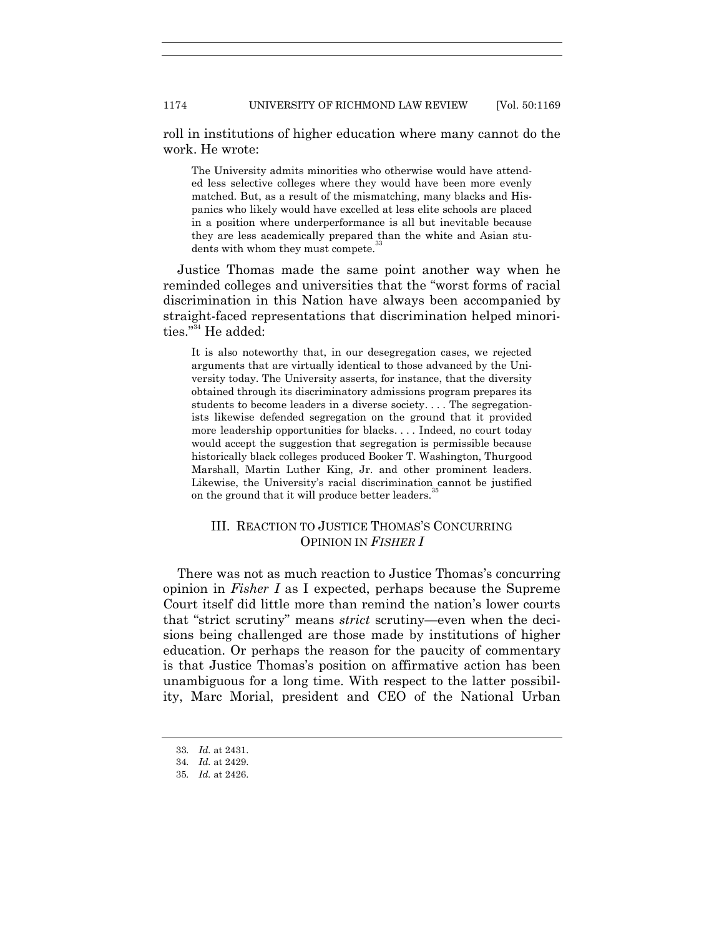roll in institutions of higher education where many cannot do the work. He wrote:

The University admits minorities who otherwise would have attended less selective colleges where they would have been more evenly matched. But, as a result of the mismatching, many blacks and Hispanics who likely would have excelled at less elite schools are placed in a position where underperformance is all but inevitable because they are less academically prepared than the white and Asian students with whom they must compete.

Justice Thomas made the same point another way when he reminded colleges and universities that the "worst forms of racial discrimination in this Nation have always been accompanied by straight-faced representations that discrimination helped minorities."<sup>34</sup> He added:

It is also noteworthy that, in our desegregation cases, we rejected arguments that are virtually identical to those advanced by the University today. The University asserts, for instance, that the diversity obtained through its discriminatory admissions program prepares its students to become leaders in a diverse society. . . . The segregationists likewise defended segregation on the ground that it provided more leadership opportunities for blacks. . . . Indeed, no court today would accept the suggestion that segregation is permissible because historically black colleges produced Booker T. Washington, Thurgood Marshall, Martin Luther King, Jr. and other prominent leaders. Likewise, the University's racial discrimination cannot be justified on the ground that it will produce better leaders.<sup>35</sup>

### III. REACTION TO JUSTICE THOMAS'S CONCURRING OPINION IN *FISHER I*

There was not as much reaction to Justice Thomas's concurring opinion in *Fisher I* as I expected, perhaps because the Supreme Court itself did little more than remind the nation's lower courts that "strict scrutiny" means *strict* scrutiny—even when the decisions being challenged are those made by institutions of higher education. Or perhaps the reason for the paucity of commentary is that Justice Thomas's position on affirmative action has been unambiguous for a long time. With respect to the latter possibility, Marc Morial, president and CEO of the National Urban

<sup>33</sup>*. Id.* at 2431.

<sup>34</sup>*. Id.* at 2429.

<sup>35</sup>*. Id.* at 2426.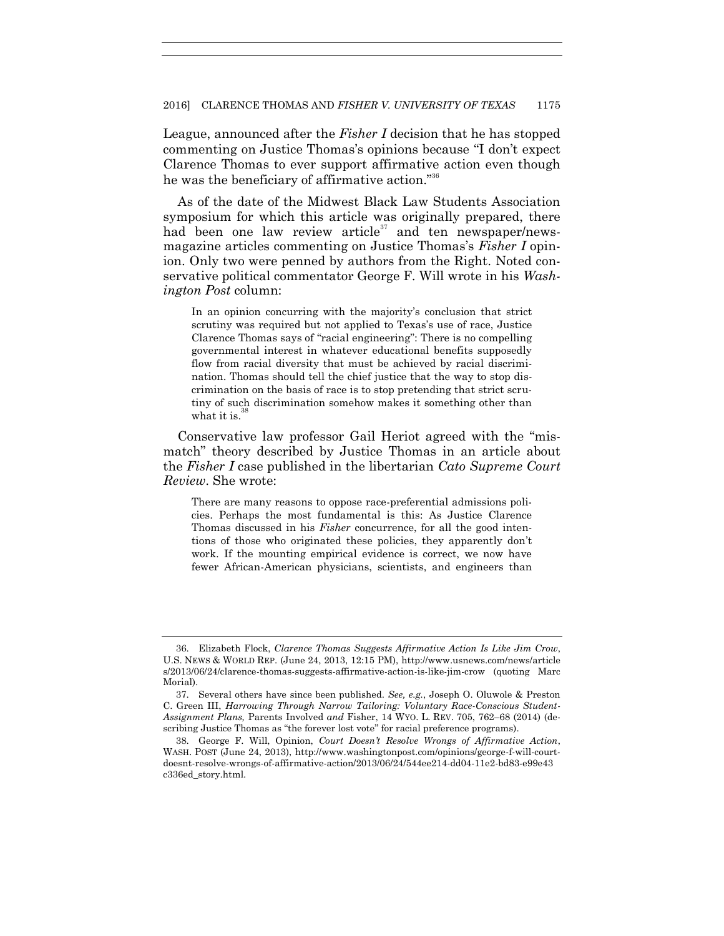League, announced after the *Fisher I* decision that he has stopped commenting on Justice Thomas's opinions because "I don't expect Clarence Thomas to ever support affirmative action even though he was the beneficiary of affirmative action." $36$ 

As of the date of the Midwest Black Law Students Association symposium for which this article was originally prepared, there had been one law review article<sup>37</sup> and ten newspaper/newsmagazine articles commenting on Justice Thomas's *Fisher I* opinion. Only two were penned by authors from the Right. Noted conservative political commentator George F. Will wrote in his *Washington Post* column:

In an opinion concurring with the majority's conclusion that strict scrutiny was required but not applied to Texas's use of race, Justice Clarence Thomas says of "racial engineering": There is no compelling governmental interest in whatever educational benefits supposedly flow from racial diversity that must be achieved by racial discrimination. Thomas should tell the chief justice that the way to stop discrimination on the basis of race is to stop pretending that strict scrutiny of such discrimination somehow makes it something other than what it is. $38$ 

Conservative law professor Gail Heriot agreed with the "mismatch" theory described by Justice Thomas in an article about the *Fisher I* case published in the libertarian *Cato Supreme Court Review*. She wrote:

There are many reasons to oppose race-preferential admissions policies. Perhaps the most fundamental is this: As Justice Clarence Thomas discussed in his *Fisher* concurrence, for all the good intentions of those who originated these policies, they apparently don't work. If the mounting empirical evidence is correct, we now have fewer African-American physicians, scientists, and engineers than

<sup>36.</sup> Elizabeth Flock, *Clarence Thomas Suggests Affirmative Action Is Like Jim Crow*, U.S. NEWS & WORLD REP. (June 24, 2013, 12:15 PM), http://www.usnews.com/news/article s/2013/06/24/clarence-thomas-suggests-affirmative-action-is-like-jim-crow (quoting Marc Morial).

<sup>37.</sup> Several others have since been published. *See, e.g.*, Joseph O. Oluwole & Preston C. Green III, *Harrowing Through Narrow Tailoring: Voluntary Race-Conscious Student-Assignment Plans,* Parents Involved *and* Fisher, 14 WYO. L. REV. 705, 762–68 (2014) (describing Justice Thomas as "the forever lost vote" for racial preference programs).

<sup>38.</sup> George F. Will, Opinion, *Court Doesn't Resolve Wrongs of Affirmative Action*, WASH. POST (June 24, 2013), http://www.washingtonpost.com/opinions/george-f-will-courtdoesnt-resolve-wrongs-of-affirmative-action/2013/06/24/544ee214-dd04-11e2-bd83-e99e43 c336ed\_story.html.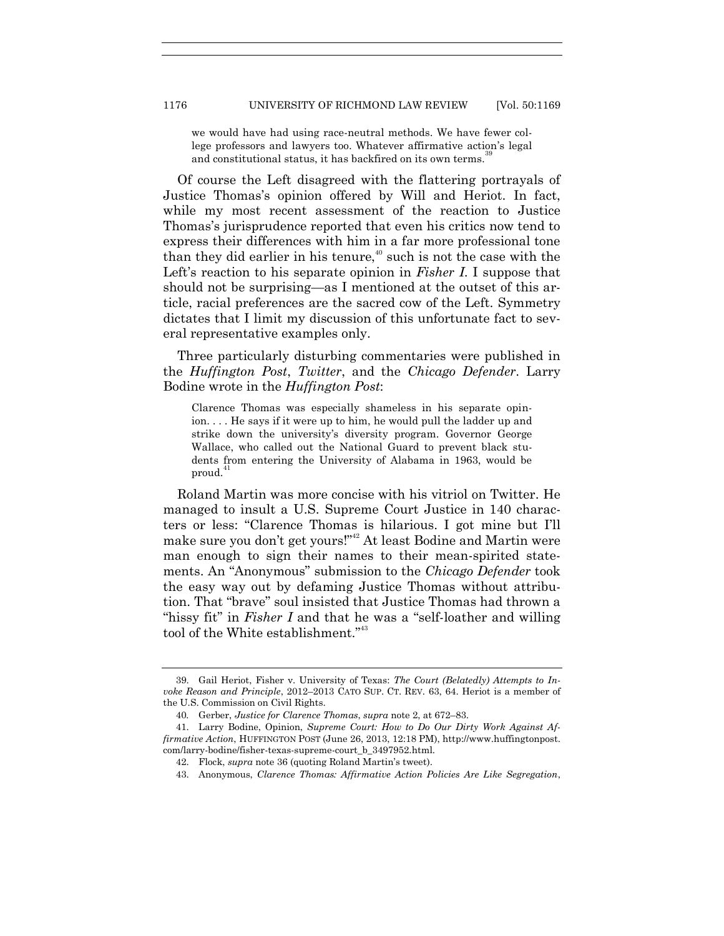we would have had using race-neutral methods. We have fewer college professors and lawyers too. Whatever affirmative action's legal and constitutional status, it has backfired on its own terms.

Of course the Left disagreed with the flattering portrayals of Justice Thomas's opinion offered by Will and Heriot. In fact, while my most recent assessment of the reaction to Justice Thomas's jurisprudence reported that even his critics now tend to express their differences with him in a far more professional tone than they did earlier in his tenure, $40$  such is not the case with the Left's reaction to his separate opinion in *Fisher I*. I suppose that should not be surprising—as I mentioned at the outset of this article, racial preferences are the sacred cow of the Left. Symmetry dictates that I limit my discussion of this unfortunate fact to several representative examples only.

Three particularly disturbing commentaries were published in the *Huffington Post*, *Twitter*, and the *Chicago Defender*. Larry Bodine wrote in the *Huffington Post*:

Clarence Thomas was especially shameless in his separate opinion. . . . He says if it were up to him, he would pull the ladder up and strike down the university's diversity program. Governor George Wallace, who called out the National Guard to prevent black students from entering the University of Alabama in 1963, would be proud.<sup>4</sup>

Roland Martin was more concise with his vitriol on Twitter. He managed to insult a U.S. Supreme Court Justice in 140 characters or less: ―Clarence Thomas is hilarious. I got mine but I'll make sure you don't get yours!"<sup>42</sup> At least Bodine and Martin were man enough to sign their names to their mean-spirited statements. An "Anonymous" submission to the *Chicago Defender* took the easy way out by defaming Justice Thomas without attribution. That "brave" soul insisted that Justice Thomas had thrown a "hissy fit" in *Fisher I* and that he was a "self-loather and willing" tool of the White establishment."<sup>43</sup>

<sup>39.</sup> Gail Heriot, Fisher v. University of Texas: *The Court (Belatedly) Attempts to Invoke Reason and Principle*, 2012–2013 CATO SUP. CT. REV. 63, 64. Heriot is a member of the U.S. Commission on Civil Rights.

<sup>40</sup>*.* Gerber, *Justice for Clarence Thomas*, *supra* note 2, at 672–83.

<sup>41.</sup> Larry Bodine, Opinion, *Supreme Court: How to Do Our Dirty Work Against Affirmative Action*, HUFFINGTON POST (June 26, 2013, 12:18 PM), http://www.huffingtonpost. com/larry-bodine/fisher-texas-supreme-court\_b\_3497952.html.

<sup>42.</sup> Flock, *supra* note 36 (quoting Roland Martin's tweet).

<sup>43.</sup> Anonymous, *Clarence Thomas: Affirmative Action Policies Are Like Segregation*,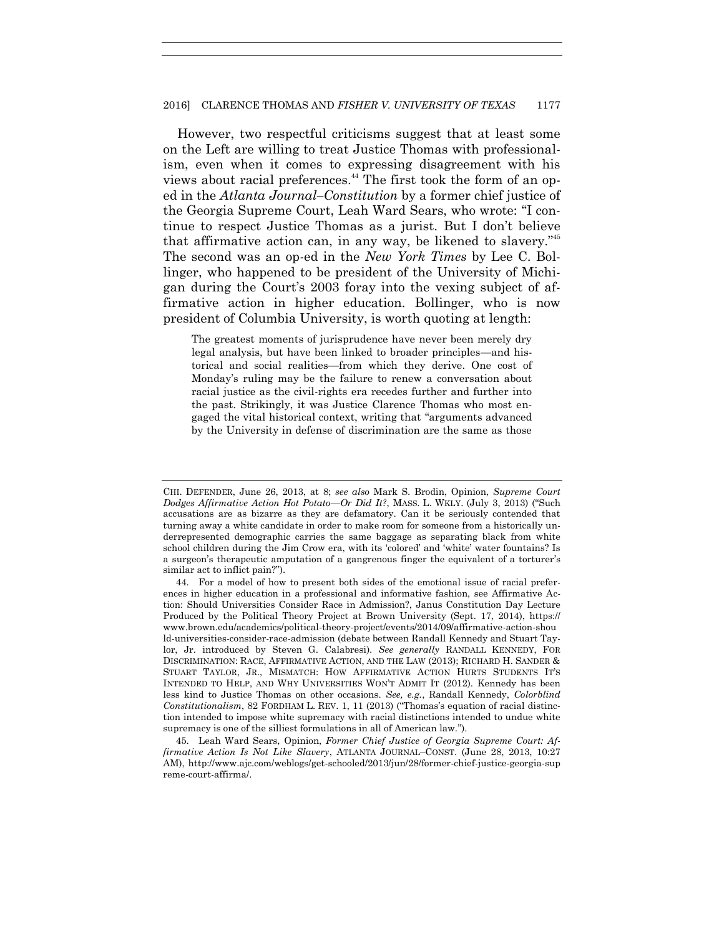However, two respectful criticisms suggest that at least some on the Left are willing to treat Justice Thomas with professionalism, even when it comes to expressing disagreement with his views about racial preferences. <sup>44</sup> The first took the form of an oped in the *Atlanta Journal–Constitution* by a former chief justice of the Georgia Supreme Court, Leah Ward Sears, who wrote: "I continue to respect Justice Thomas as a jurist. But I don't believe that affirmative action can, in any way, be likened to slavery."<sup>45</sup> The second was an op-ed in the *New York Times* by Lee C. Bollinger, who happened to be president of the University of Michigan during the Court's 2003 foray into the vexing subject of affirmative action in higher education. Bollinger, who is now president of Columbia University, is worth quoting at length:

The greatest moments of jurisprudence have never been merely dry legal analysis, but have been linked to broader principles—and historical and social realities—from which they derive. One cost of Monday's ruling may be the failure to renew a conversation about racial justice as the civil-rights era recedes further and further into the past. Strikingly, it was Justice Clarence Thomas who most engaged the vital historical context, writing that "arguments advanced" by the University in defense of discrimination are the same as those

CHI. DEFENDER, June 26, 2013, at 8; *see also* Mark S. Brodin, Opinion, *Supreme Court Dodges Affirmative Action Hot Potato—Or Did It?*, MASS. L. WKLY. (July 3, 2013) ("Such accusations are as bizarre as they are defamatory. Can it be seriously contended that turning away a white candidate in order to make room for someone from a historically underrepresented demographic carries the same baggage as separating black from white school children during the Jim Crow era, with its 'colored' and 'white' water fountains? Is a surgeon's therapeutic amputation of a gangrenous finger the equivalent of a torturer's similar act to inflict pain?").

<sup>44.</sup> For a model of how to present both sides of the emotional issue of racial preferences in higher education in a professional and informative fashion, see Affirmative Action: Should Universities Consider Race in Admission?, Janus Constitution Day Lecture Produced by the Political Theory Project at Brown University (Sept. 17, 2014), https:// www.brown.edu/academics/political-theory-project/events/2014/09/affirmative-action-shou ld-universities-consider-race-admission (debate between Randall Kennedy and Stuart Taylor, Jr. introduced by Steven G. Calabresi). *See generally* RANDALL KENNEDY, FOR DISCRIMINATION: RACE, AFFIRMATIVE ACTION, AND THE LAW (2013); RICHARD H. SANDER & STUART TAYLOR, JR., MISMATCH: HOW AFFIRMATIVE ACTION HURTS STUDENTS IT'S INTENDED TO HELP, AND WHY UNIVERSITIES WON'T ADMIT IT (2012). Kennedy has been less kind to Justice Thomas on other occasions. *See, e.g.*, Randall Kennedy, *Colorblind Constitutionalism*, 82 FORDHAM L. REV. 1, 11 (2013) ("Thomas's equation of racial distinction intended to impose white supremacy with racial distinctions intended to undue white supremacy is one of the silliest formulations in all of American law.").

<sup>45.</sup> Leah Ward Sears, Opinion, *Former Chief Justice of Georgia Supreme Court: Affirmative Action Is Not Like Slavery*, ATLANTA JOURNAL–CONST. (June 28, 2013, 10:27 AM), http://www.ajc.com/weblogs/get-schooled/2013/jun/28/former-chief-justice-georgia-sup reme-court-affirma/.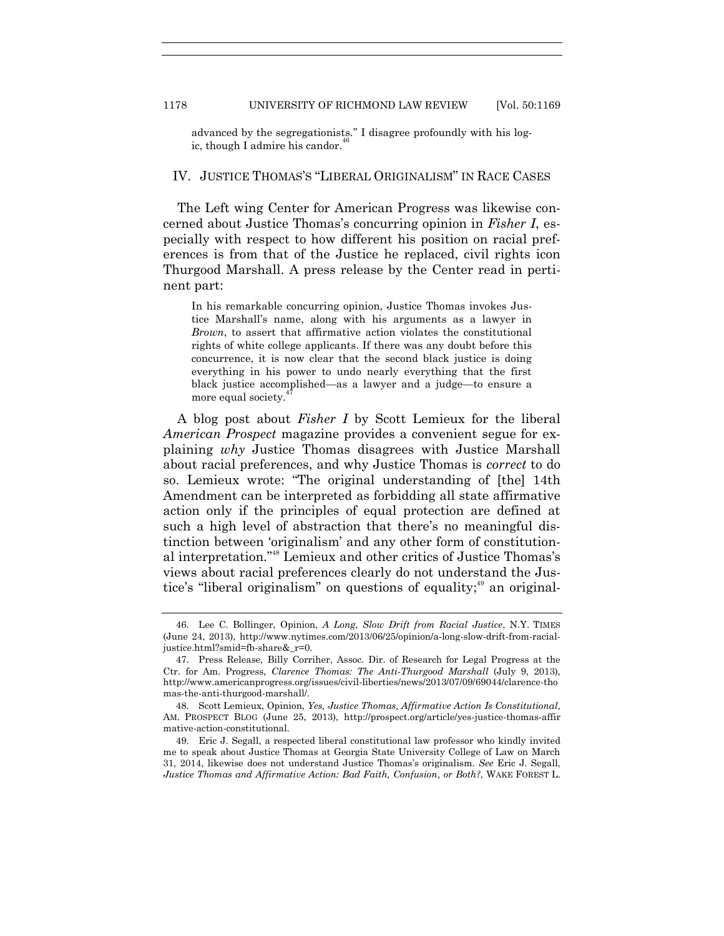advanced by the segregationists." I disagree profoundly with his logic, though I admire his candor.

## IV. JUSTICE THOMAS'S "LIBERAL ORIGINALISM" IN RACE CASES

The Left wing Center for American Progress was likewise concerned about Justice Thomas's concurring opinion in *Fisher I*, especially with respect to how different his position on racial preferences is from that of the Justice he replaced, civil rights icon Thurgood Marshall. A press release by the Center read in pertinent part:

In his remarkable concurring opinion, Justice Thomas invokes Justice Marshall's name, along with his arguments as a lawyer in *Brown*, to assert that affirmative action violates the constitutional rights of white college applicants. If there was any doubt before this concurrence, it is now clear that the second black justice is doing everything in his power to undo nearly everything that the first black justice accomplished—as a lawyer and a judge—to ensure a more equal society.

A blog post about *Fisher I* by Scott Lemieux for the liberal *American Prospect* magazine provides a convenient segue for explaining *why* Justice Thomas disagrees with Justice Marshall about racial preferences, and why Justice Thomas is *correct* to do so. Lemieux wrote: "The original understanding of [the] 14th Amendment can be interpreted as forbidding all state affirmative action only if the principles of equal protection are defined at such a high level of abstraction that there's no meaningful distinction between 'originalism' and any other form of constitutional interpretation."<sup>48</sup> Lemieux and other critics of Justice Thomas's views about racial preferences clearly do not understand the Justice's "liberal originalism" on questions of equality;<sup>49</sup> an original-

<sup>46.</sup> Lee C. Bollinger, Opinion, *A Long*, *Slow Drift from Racial Justice*, N.Y. TIMES (June 24, 2013), http://www.nytimes.com/2013/06/25/opinion/a-long-slow-drift-from-racialjustice.html?smid=fb-share&\_r=0.

<sup>47.</sup> Press Release, Billy Corriher, Assoc. Dir. of Research for Legal Progress at the Ctr. for Am. Progress, *Clarence Thomas: The Anti-Thurgood Marshall* (July 9, 2013), http://www.americanprogress.org/issues/civil-liberties/news/2013/07/09/69044/clarence-tho mas-the-anti-thurgood-marshall/.

<sup>48.</sup> Scott Lemieux, Opinion, *Yes, Justice Thomas, Affirmative Action Is Constitutional*, AM. PROSPECT BLOG (June 25, 2013), http://prospect.org/article/yes-justice-thomas-affir mative-action-constitutional.

<sup>49.</sup> Eric J. Segall, a respected liberal constitutional law professor who kindly invited me to speak about Justice Thomas at Georgia State University College of Law on March 31, 2014, likewise does not understand Justice Thomas's originalism. *See* Eric J. Segall, *Justice Thomas and Affirmative Action: Bad Faith, Confusion, or Both?*, WAKE FOREST L.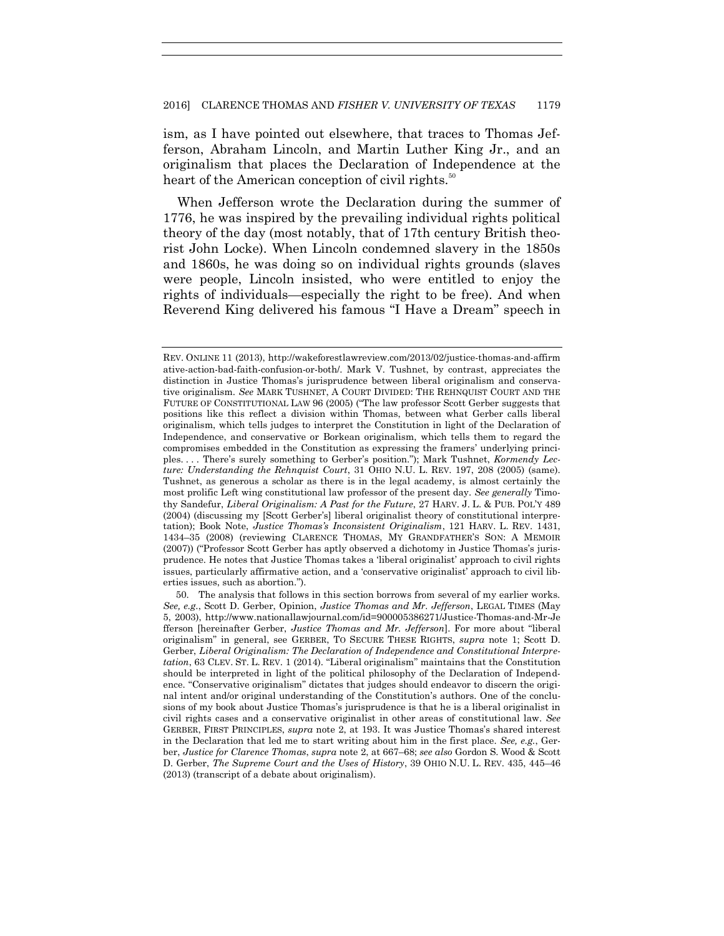ism, as I have pointed out elsewhere, that traces to Thomas Jefferson, Abraham Lincoln, and Martin Luther King Jr., and an originalism that places the Declaration of Independence at the heart of the American conception of civil rights.<sup>30</sup>

When Jefferson wrote the Declaration during the summer of 1776, he was inspired by the prevailing individual rights political theory of the day (most notably, that of 17th century British theorist John Locke). When Lincoln condemned slavery in the 1850s and 1860s, he was doing so on individual rights grounds (slaves were people, Lincoln insisted, who were entitled to enjoy the rights of individuals—especially the right to be free). And when Reverend King delivered his famous "I Have a Dream" speech in

REV. ONLINE 11 (2013), http://wakeforestlawreview.com/2013/02/justice-thomas-and-affirm ative-action-bad-faith-confusion-or-both/. Mark V. Tushnet, by contrast, appreciates the distinction in Justice Thomas's jurisprudence between liberal originalism and conservative originalism. *See* MARK TUSHNET, A COURT DIVIDED: THE REHNQUIST COURT AND THE FUTURE OF CONSTITUTIONAL LAW 96 (2005) ("The law professor Scott Gerber suggests that positions like this reflect a division within Thomas, between what Gerber calls liberal originalism, which tells judges to interpret the Constitution in light of the Declaration of Independence, and conservative or Borkean originalism, which tells them to regard the compromises embedded in the Constitution as expressing the framers' underlying principles. . . . There's surely something to Gerber's position."); Mark Tushnet, *Kormendy Lecture: Understanding the Rehnquist Court*, 31 OHIO N.U. L. REV. 197, 208 (2005) (same). Tushnet, as generous a scholar as there is in the legal academy, is almost certainly the most prolific Left wing constitutional law professor of the present day. *See generally* Timothy Sandefur, *Liberal Originalism: A Past for the Future*, 27 HARV. J. L. & PUB. POL'Y 489 (2004) (discussing my [Scott Gerber's] liberal originalist theory of constitutional interpretation); Book Note, *Justice Thomas's Inconsistent Originalism*, 121 HARV. L. REV. 1431, 1434–35 (2008) (reviewing CLARENCE THOMAS, MY GRANDFATHER'S SON: A MEMOIR  $(2007)$ ) ("Professor Scott Gerber has aptly observed a dichotomy in Justice Thomas's jurisprudence. He notes that Justice Thomas takes a ‗liberal originalist' approach to civil rights issues, particularly affirmative action, and a 'conservative originalist' approach to civil liberties issues, such as abortion.").

<sup>50.</sup> The analysis that follows in this section borrows from several of my earlier works. *See, e.g*., Scott D. Gerber, Opinion, *Justice Thomas and Mr. Jefferson*, LEGAL TIMES (May 5, 2003), http://www.nationallawjournal.com/id=900005386271/Justice-Thomas-and-Mr-Je fferson [hereinafter Gerber, *Justice Thomas and Mr. Jefferson*]. For more about "liberal originalism‖ in general, see GERBER, TO SECURE THESE RIGHTS, *supra* note 1; Scott D. Gerber, *Liberal Originalism: The Declaration of Independence and Constitutional Interpretation*, 63 CLEV. ST. L. REV. 1 (2014). "Liberal originalism" maintains that the Constitution should be interpreted in light of the political philosophy of the Declaration of Independence. "Conservative originalism" dictates that judges should endeavor to discern the original intent and/or original understanding of the Constitution's authors. One of the conclusions of my book about Justice Thomas's jurisprudence is that he is a liberal originalist in civil rights cases and a conservative originalist in other areas of constitutional law. *See* GERBER, FIRST PRINCIPLES, *supra* note 2, at 193. It was Justice Thomas's shared interest in the Declaration that led me to start writing about him in the first place. *See, e.g.*, Gerber, *Justice for Clarence Thomas*, *supra* note 2, at 667–68; *see also* Gordon S. Wood & Scott D. Gerber, *The Supreme Court and the Uses of History*, 39 OHIO N.U. L. REV. 435, 445–46 (2013) (transcript of a debate about originalism).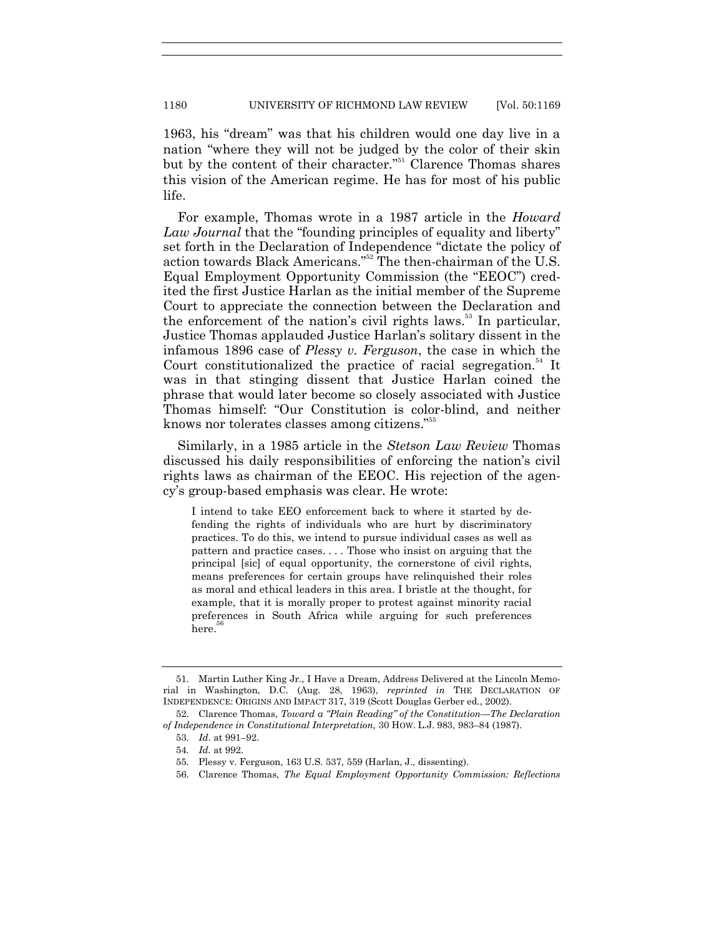1180 UNIVERSITY OF RICHMOND LAW REVIEW [Vol. 50:1169]

1963, his "dream" was that his children would one day live in a nation "where they will not be judged by the color of their skin but by the content of their character."<sup>51</sup> Clarence Thomas shares this vision of the American regime. He has for most of his public life.

For example, Thomas wrote in a 1987 article in the *Howard Law Journal* that the "founding principles of equality and liberty" set forth in the Declaration of Independence "dictate the policy of action towards Black Americans."<sup>52</sup> The then-chairman of the U.S. Equal Employment Opportunity Commission (the "EEOC") credited the first Justice Harlan as the initial member of the Supreme Court to appreciate the connection between the Declaration and the enforcement of the nation's civil rights laws.<sup>53</sup> In particular, Justice Thomas applauded Justice Harlan's solitary dissent in the infamous 1896 case of *Plessy v. Ferguson*, the case in which the Court constitutionalized the practice of racial segregation.<sup>54</sup> It was in that stinging dissent that Justice Harlan coined the phrase that would later become so closely associated with Justice Thomas himself: "Our Constitution is color-blind, and neither knows nor tolerates classes among citizens."<sup>55</sup>

Similarly, in a 1985 article in the *Stetson Law Review* Thomas discussed his daily responsibilities of enforcing the nation's civil rights laws as chairman of the EEOC. His rejection of the agency's group-based emphasis was clear. He wrote:

I intend to take EEO enforcement back to where it started by defending the rights of individuals who are hurt by discriminatory practices. To do this, we intend to pursue individual cases as well as pattern and practice cases. . . . Those who insist on arguing that the principal [sic] of equal opportunity, the cornerstone of civil rights, means preferences for certain groups have relinquished their roles as moral and ethical leaders in this area. I bristle at the thought, for example, that it is morally proper to protest against minority racial preferences in South Africa while arguing for such preferences here. 56

<sup>51.</sup> Martin Luther King Jr., I Have a Dream, Address Delivered at the Lincoln Memorial in Washington, D.C. (Aug. 28, 1963), *reprinted in* THE DECLARATION OF INDEPENDENCE: ORIGINS AND IMPACT 317, 319 (Scott Douglas Gerber ed., 2002).

<sup>52.</sup> Clarence Thomas, *Toward a "Plain Reading" of the Constitution—The Declaration of Independence in Constitutional Interpretation,* 30 HOW. L.J. 983, 983–84 (1987).

<sup>53.</sup> *Id*. at 991–92.

<sup>54</sup>*. Id.* at 992.

<sup>55</sup>*.* Plessy v. Ferguson, 163 U.S. 537, 559 (Harlan, J., dissenting).

<sup>56.</sup> Clarence Thomas, *The Equal Employment Opportunity Commission: Reflections*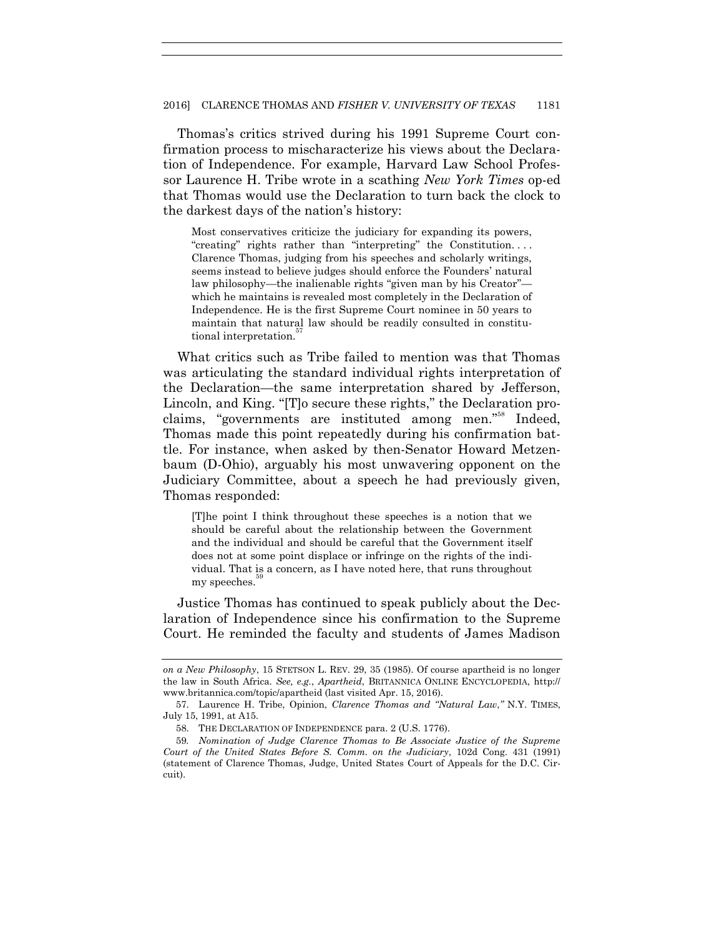Thomas's critics strived during his 1991 Supreme Court confirmation process to mischaracterize his views about the Declaration of Independence. For example, Harvard Law School Professor Laurence H. Tribe wrote in a scathing *New York Times* op-ed that Thomas would use the Declaration to turn back the clock to the darkest days of the nation's history:

Most conservatives criticize the judiciary for expanding its powers, "creating" rights rather than "interpreting" the Constitution.... Clarence Thomas, judging from his speeches and scholarly writings, seems instead to believe judges should enforce the Founders' natural law philosophy—the inalienable rights "given man by his Creator" which he maintains is revealed most completely in the Declaration of Independence. He is the first Supreme Court nominee in 50 years to maintain that natural law should be readily consulted in constitutional interpretation.<sup>5</sup>

What critics such as Tribe failed to mention was that Thomas was articulating the standard individual rights interpretation of the Declaration—the same interpretation shared by Jefferson, Lincoln, and King. "[T]o secure these rights," the Declaration proclaims, "governments are instituted among men."<sup>58</sup> Indeed, Thomas made this point repeatedly during his confirmation battle. For instance, when asked by then-Senator Howard Metzenbaum (D-Ohio), arguably his most unwavering opponent on the Judiciary Committee, about a speech he had previously given, Thomas responded:

[T]he point I think throughout these speeches is a notion that we should be careful about the relationship between the Government and the individual and should be careful that the Government itself does not at some point displace or infringe on the rights of the individual. That is a concern, as I have noted here, that runs throughout my speeches.

Justice Thomas has continued to speak publicly about the Declaration of Independence since his confirmation to the Supreme Court. He reminded the faculty and students of James Madison

*on a New Philosophy*, 15 STETSON L. REV. 29, 35 (1985). Of course apartheid is no longer the law in South Africa. *See, e.g.*, *Apartheid*, BRITANNICA ONLINE ENCYCLOPEDIA, http:// www.britannica.com/topic/apartheid (last visited Apr. 15, 2016).

<sup>57.</sup> Laurence H. Tribe, Opinion, *Clarence Thomas and "Natural Law*," N.Y. TIMES, July 15, 1991, at A15.

<sup>58.</sup> THE DECLARATION OF INDEPENDENCE para. 2 (U.S. 1776).

<sup>59</sup>*. Nomination of Judge Clarence Thomas to Be Associate Justice of the Supreme Court of the United States Before S. Comm. on the Judiciary*, 102d Cong. 431 (1991) (statement of Clarence Thomas, Judge, United States Court of Appeals for the D.C. Circuit).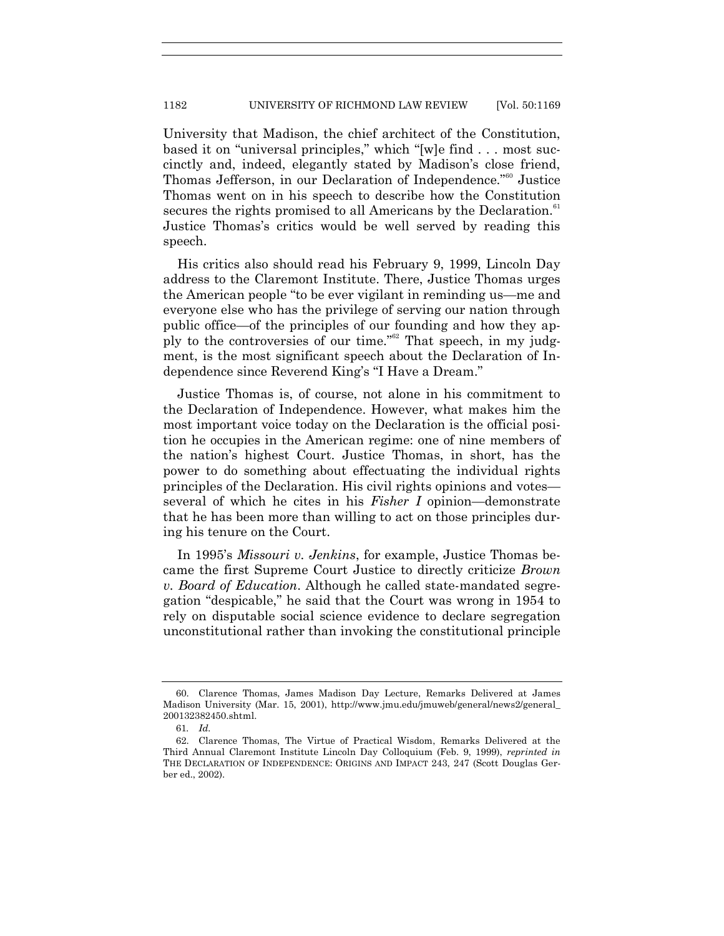University that Madison, the chief architect of the Constitution, based it on "universal principles," which "[w]e find . . . most succinctly and, indeed, elegantly stated by Madison's close friend, Thomas Jefferson, in our Declaration of Independence."<sup>60</sup> Justice Thomas went on in his speech to describe how the Constitution secures the rights promised to all Americans by the Declaration.<sup>61</sup> Justice Thomas's critics would be well served by reading this speech.

His critics also should read his February 9, 1999, Lincoln Day address to the Claremont Institute. There, Justice Thomas urges the American people "to be ever vigilant in reminding us—me and everyone else who has the privilege of serving our nation through public office—of the principles of our founding and how they apply to the controversies of our time."<sup>62</sup> That speech, in my judgment, is the most significant speech about the Declaration of Independence since Reverend King's "I Have a Dream."

Justice Thomas is, of course, not alone in his commitment to the Declaration of Independence. However, what makes him the most important voice today on the Declaration is the official position he occupies in the American regime: one of nine members of the nation's highest Court. Justice Thomas, in short, has the power to do something about effectuating the individual rights principles of the Declaration. His civil rights opinions and votes several of which he cites in his *Fisher I* opinion—demonstrate that he has been more than willing to act on those principles during his tenure on the Court.

In 1995's *Missouri v. Jenkins*, for example, Justice Thomas became the first Supreme Court Justice to directly criticize *Brown v. Board of Education*. Although he called state-mandated segregation "despicable," he said that the Court was wrong in 1954 to rely on disputable social science evidence to declare segregation unconstitutional rather than invoking the constitutional principle

<sup>60.</sup> Clarence Thomas, James Madison Day Lecture, Remarks Delivered at James Madison University (Mar. 15, 2001), http://www.jmu.edu/jmuweb/general/news2/general\_ 200132382450.shtml.

<sup>61</sup>*. Id.*

<sup>62.</sup> Clarence Thomas, The Virtue of Practical Wisdom, Remarks Delivered at the Third Annual Claremont Institute Lincoln Day Colloquium (Feb. 9, 1999), *reprinted in*  THE DECLARATION OF INDEPENDENCE: ORIGINS AND IMPACT 243, 247 (Scott Douglas Gerber ed., 2002).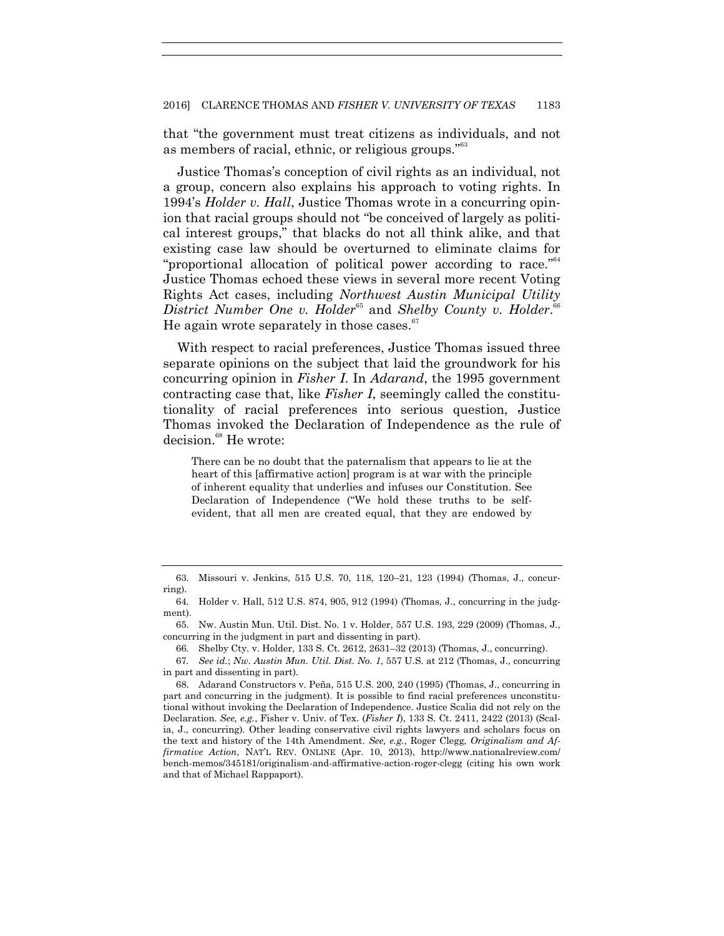that "the government must treat citizens as individuals, and not as members of racial, ethnic, or religious groups."<sup>63</sup>

Justice Thomas's conception of civil rights as an individual, not a group, concern also explains his approach to voting rights. In 1994's *Holder v. Hall*, Justice Thomas wrote in a concurring opinion that racial groups should not "be conceived of largely as political interest groups," that blacks do not all think alike, and that existing case law should be overturned to eliminate claims for "proportional allocation of political power according to race."<sup>64</sup> Justice Thomas echoed these views in several more recent Voting Rights Act cases, including *Northwest Austin Municipal Utility District Number One v. Holder*<sup>65</sup> and *Shelby County v. Holder.*<sup>66</sup> He again wrote separately in those cases.<sup>67</sup>

With respect to racial preferences, Justice Thomas issued three separate opinions on the subject that laid the groundwork for his concurring opinion in *Fisher I*. In *Adarand*, the 1995 government contracting case that, like *Fisher I*, seemingly called the constitutionality of racial preferences into serious question, Justice Thomas invoked the Declaration of Independence as the rule of decision.<sup>68</sup> He wrote:

There can be no doubt that the paternalism that appears to lie at the heart of this [affirmative action] program is at war with the principle of inherent equality that underlies and infuses our Constitution. See Declaration of Independence ("We hold these truths to be selfevident, that all men are created equal, that they are endowed by

66*.* Shelby Cty. v. Holder, 133 S. Ct. 2612, 2631–32 (2013) (Thomas, J., concurring).

<sup>63.</sup> Missouri v. Jenkins, 515 U.S. 70, 118, 120–21, 123 (1994) (Thomas, J., concurring).

<sup>64</sup>*.* Holder v. Hall, 512 U.S. 874, 905, 912 (1994) (Thomas, J., concurring in the judgment).

<sup>65.</sup> Nw. Austin Mun. Util. Dist. No. 1 v. Holder, 557 U.S. 193, 229 (2009) (Thomas, J., concurring in the judgment in part and dissenting in part).

<sup>67</sup>*. See id.*; *Nw. Austin Mun. Util. Dist. No. 1*, 557 U.S. at 212 (Thomas, J., concurring in part and dissenting in part).

<sup>68.</sup> Adarand Constructors v. Peña, 515 U.S. 200, 240 (1995) (Thomas, J., concurring in part and concurring in the judgment). It is possible to find racial preferences unconstitutional without invoking the Declaration of Independence. Justice Scalia did not rely on the Declaration. *See, e.g.*, Fisher v. Univ. of Tex. (*Fisher I*), 133 S. Ct. 2411, 2422 (2013) (Scalia, J., concurring). Other leading conservative civil rights lawyers and scholars focus on the text and history of the 14th Amendment. *See, e.g.*, Roger Clegg, *Originalism and Affirmative Action*, NAT'L REV. ONLINE (Apr. 10, 2013), http://www.nationalreview.com/ bench-memos/345181/originalism-and-affirmative-action-roger-clegg (citing his own work and that of Michael Rappaport).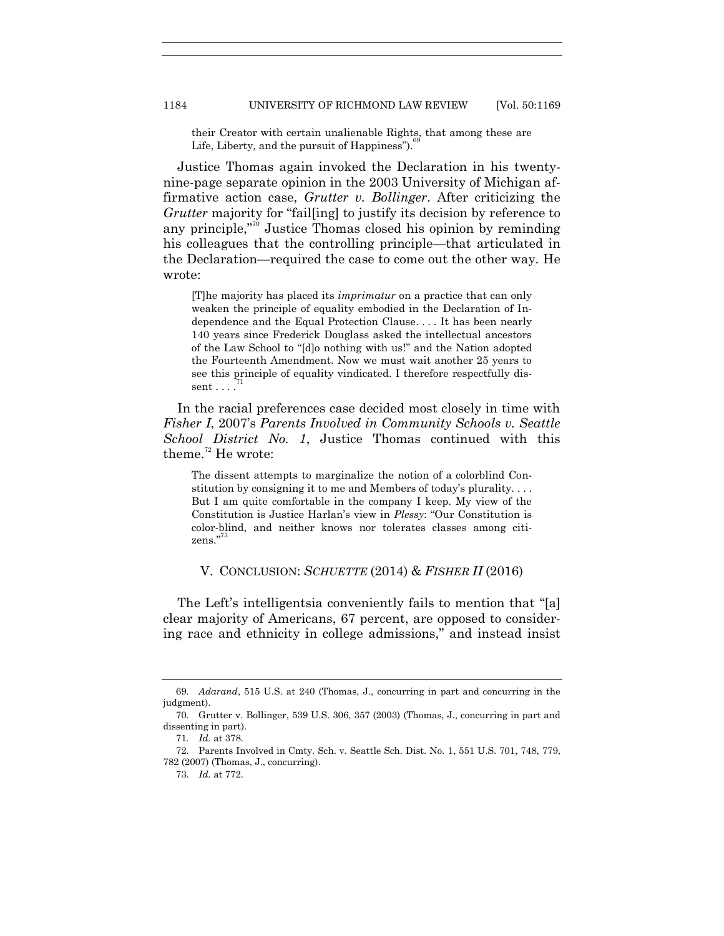their Creator with certain unalienable Rights, that among these are Life, Liberty, and the pursuit of Happiness".

Justice Thomas again invoked the Declaration in his twentynine-page separate opinion in the 2003 University of Michigan affirmative action case, *Grutter v. Bollinger*. After criticizing the *Grutter* majority for "fail[ing] to justify its decision by reference to any principle,"<sup>70</sup> Justice Thomas closed his opinion by reminding his colleagues that the controlling principle—that articulated in the Declaration—required the case to come out the other way. He wrote:

[T]he majority has placed its *imprimatur* on a practice that can only weaken the principle of equality embodied in the Declaration of Independence and the Equal Protection Clause. . . . It has been nearly 140 years since Frederick Douglass asked the intellectual ancestors of the Law School to "[d]o nothing with us!" and the Nation adopted the Fourteenth Amendment. Now we must wait another 25 years to see this principle of equality vindicated. I therefore respectfully dissent . . . .

In the racial preferences case decided most closely in time with *Fisher I*, 2007's *Parents Involved in Community Schools v. Seattle School District No. 1*, Justice Thomas continued with this theme. $72$  He wrote:

The dissent attempts to marginalize the notion of a colorblind Constitution by consigning it to me and Members of today's plurality. . . . But I am quite comfortable in the company I keep. My view of the Constitution is Justice Harlan's view in *Plessy*: "Our Constitution is color-blind, and neither knows nor tolerates classes among citizens."<sup>73</sup>

### V. CONCLUSION: *SCHUETTE* (2014) & *FISHER II* (2016)

The Left's intelligentsia conveniently fails to mention that "[a] clear majority of Americans, 67 percent, are opposed to considering race and ethnicity in college admissions," and instead insist

<sup>69</sup>*. Adarand*, 515 U.S. at 240 (Thomas, J., concurring in part and concurring in the judgment).

<sup>70</sup>*.* Grutter v. Bollinger, 539 U.S. 306, 357 (2003) (Thomas, J., concurring in part and dissenting in part).

<sup>71</sup>*. Id.* at 378.

<sup>72.</sup> Parents Involved in Cmty. Sch. v. Seattle Sch. Dist. No. 1, 551 U.S. 701, 748, 779, 782 (2007) (Thomas, J., concurring).

<sup>73</sup>*. Id.* at 772.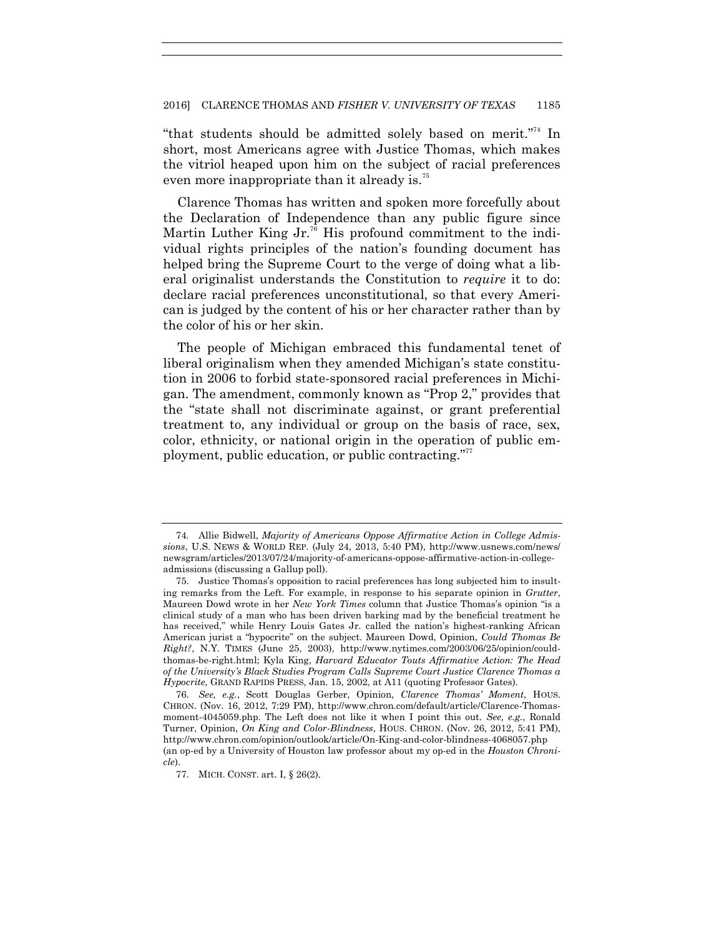"that students should be admitted solely based on merit."<sup>74</sup> In short, most Americans agree with Justice Thomas, which makes the vitriol heaped upon him on the subject of racial preferences even more inappropriate than it already is.<sup>75</sup>

Clarence Thomas has written and spoken more forcefully about the Declaration of Independence than any public figure since Martin Luther King  $Jr^{76}$  His profound commitment to the individual rights principles of the nation's founding document has helped bring the Supreme Court to the verge of doing what a liberal originalist understands the Constitution to *require* it to do: declare racial preferences unconstitutional, so that every American is judged by the content of his or her character rather than by the color of his or her skin.

The people of Michigan embraced this fundamental tenet of liberal originalism when they amended Michigan's state constitution in 2006 to forbid state-sponsored racial preferences in Michigan. The amendment, commonly known as "Prop 2," provides that the "state shall not discriminate against, or grant preferential treatment to, any individual or group on the basis of race, sex, color, ethnicity, or national origin in the operation of public employment, public education, or public contracting."<sup>77</sup>

<sup>74</sup>*.* Allie Bidwell, *Majority of Americans Oppose Affirmative Action in College Admissions*, U.S. NEWS & WORLD REP. (July 24, 2013, 5:40 PM), http://www.usnews.com/news/ newsgram/articles/2013/07/24/majority-of-americans-oppose-affirmative-action-in-collegeadmissions (discussing a Gallup poll).

<sup>75.</sup> Justice Thomas's opposition to racial preferences has long subjected him to insulting remarks from the Left. For example, in response to his separate opinion in *Grutter*, Maureen Dowd wrote in her *New York Times* column that Justice Thomas's opinion "is a clinical study of a man who has been driven barking mad by the beneficial treatment he has received," while Henry Louis Gates Jr. called the nation's highest-ranking African American jurist a "hypocrite" on the subject. Maureen Dowd, Opinion, *Could Thomas Be Right?*, N.Y. TIMES (June 25, 2003), http://www.nytimes.com/2003/06/25/opinion/couldthomas-be-right.html; Kyla King, *Harvard Educator Touts Affirmative Action: The Head of the University's Black Studies Program Calls Supreme Court Justice Clarence Thomas a Hypocrite*, GRAND RAPIDS PRESS, Jan. 15, 2002, at A11 (quoting Professor Gates).

<sup>76.</sup> *See, e.g.*, Scott Douglas Gerber, Opinion, *Clarence Thomas' Moment*, HOUS. CHRON. (Nov. 16, 2012, 7:29 PM), http://www.chron.com/default/article/Clarence-Thomasmoment-4045059.php. The Left does not like it when I point this out. *See, e.g.*, Ronald Turner, Opinion, *On King and Color-Blindness*, HOUS. CHRON. (Nov. 26, 2012, 5:41 PM), http://www.chron.com/opinion/outlook/article/On-King-and-color-blindness-4068057.php (an op-ed by a University of Houston law professor about my op-ed in the *Houston Chronicle*).

<sup>77.</sup> MICH. CONST. art. I, § 26(2).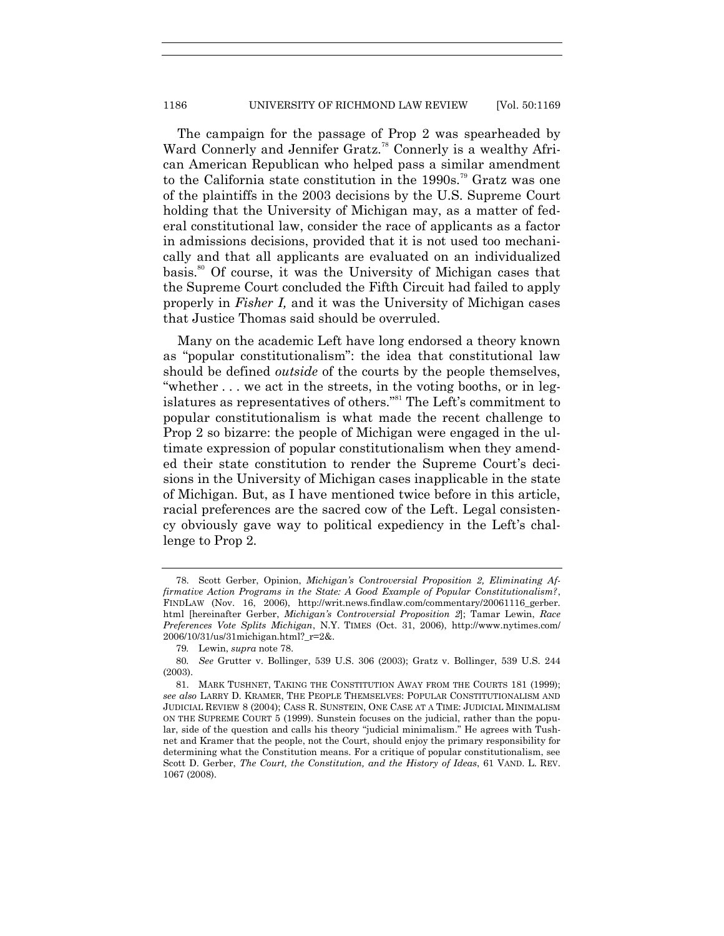The campaign for the passage of Prop 2 was spearheaded by Ward Connerly and Jennifer Gratz.<sup>78</sup> Connerly is a wealthy African American Republican who helped pass a similar amendment to the California state constitution in the 1990s.<sup>79</sup> Gratz was one of the plaintiffs in the 2003 decisions by the U.S. Supreme Court holding that the University of Michigan may, as a matter of federal constitutional law, consider the race of applicants as a factor in admissions decisions, provided that it is not used too mechanically and that all applicants are evaluated on an individualized basis.<sup>80</sup> Of course, it was the University of Michigan cases that the Supreme Court concluded the Fifth Circuit had failed to apply properly in *Fisher I,* and it was the University of Michigan cases that Justice Thomas said should be overruled.

Many on the academic Left have long endorsed a theory known as "popular constitutionalism": the idea that constitutional law should be defined *outside* of the courts by the people themselves, "whether  $\dots$  we act in the streets, in the voting booths, or in legislatures as representatives of others."<sup>81</sup> The Left's commitment to popular constitutionalism is what made the recent challenge to Prop 2 so bizarre: the people of Michigan were engaged in the ultimate expression of popular constitutionalism when they amended their state constitution to render the Supreme Court's decisions in the University of Michigan cases inapplicable in the state of Michigan. But, as I have mentioned twice before in this article, racial preferences are the sacred cow of the Left. Legal consistency obviously gave way to political expediency in the Left's challenge to Prop 2.

<sup>78.</sup> Scott Gerber, Opinion, *Michigan's Controversial Proposition 2, Eliminating Affirmative Action Programs in the State: A Good Example of Popular Constitutionalism?*, FINDLAW (Nov. 16, 2006), http://writ.news.findlaw.com/commentary/20061116\_gerber. html [hereinafter Gerber, *Michigan's Controversial Proposition 2*]; Tamar Lewin, *Race Preferences Vote Splits Michigan*, N.Y. TIMES (Oct. 31, 2006), http://www.nytimes.com/ 2006/10/31/us/31michigan.html?\_r=2&.

<sup>79</sup>*.* Lewin, *supra* note 78.

<sup>80</sup>*. See* Grutter v. Bollinger, 539 U.S. 306 (2003); Gratz v. Bollinger, 539 U.S. 244 (2003).

<sup>81.</sup> MARK TUSHNET, TAKING THE CONSTITUTION AWAY FROM THE COURTS 181 (1999); *see also* LARRY D. KRAMER, THE PEOPLE THEMSELVES: POPULAR CONSTITUTIONALISM AND JUDICIAL REVIEW 8 (2004); CASS R. SUNSTEIN, ONE CASE AT A TIME: JUDICIAL MINIMALISM ON THE SUPREME COURT 5 (1999). Sunstein focuses on the judicial, rather than the popular, side of the question and calls his theory "judicial minimalism." He agrees with Tushnet and Kramer that the people, not the Court, should enjoy the primary responsibility for determining what the Constitution means. For a critique of popular constitutionalism, see Scott D. Gerber, *The Court, the Constitution, and the History of Ideas*, 61 VAND. L. REV. 1067 (2008).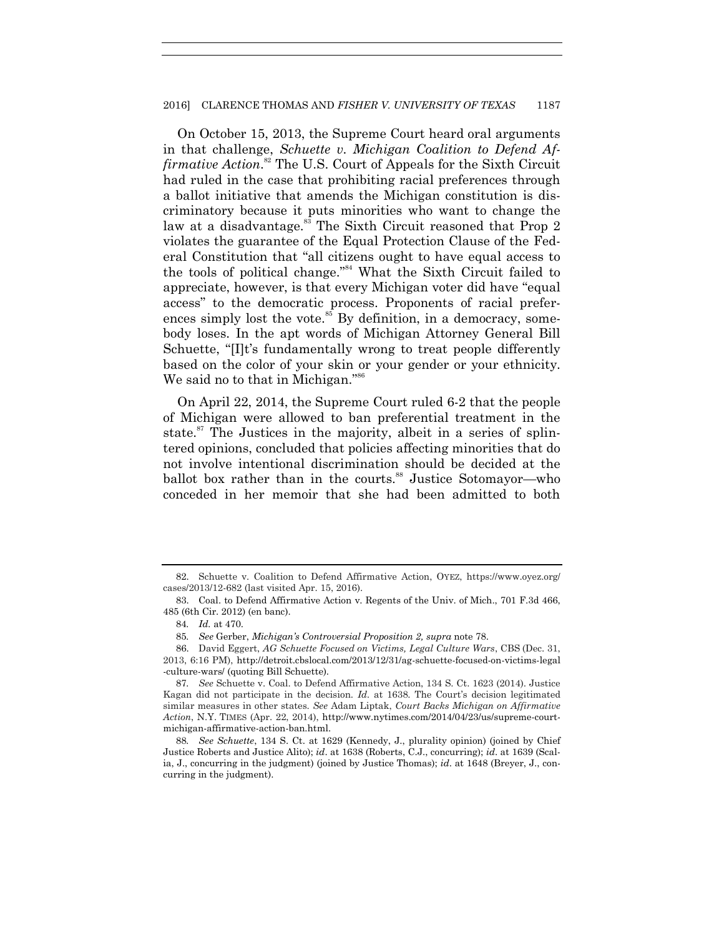#### 2016] CLARENCE THOMAS AND *FISHER V. UNIVERSITY OF TEXAS* 1187

On October 15, 2013, the Supreme Court heard oral arguments in that challenge, *Schuette v. Michigan Coalition to Defend Affirmative Action*. <sup>82</sup> The U.S. Court of Appeals for the Sixth Circuit had ruled in the case that prohibiting racial preferences through a ballot initiative that amends the Michigan constitution is discriminatory because it puts minorities who want to change the law at a disadvantage.<sup>83</sup> The Sixth Circuit reasoned that Prop 2 violates the guarantee of the Equal Protection Clause of the Federal Constitution that "all citizens ought to have equal access to the tools of political change."<sup>84</sup> What the Sixth Circuit failed to appreciate, however, is that every Michigan voter did have "equal access" to the democratic process. Proponents of racial preferences simply lost the vote.<sup>85</sup> By definition, in a democracy, somebody loses. In the apt words of Michigan Attorney General Bill Schuette, "[I]t's fundamentally wrong to treat people differently based on the color of your skin or your gender or your ethnicity. We said no to that in Michigan."<sup>86</sup>

On April 22, 2014, the Supreme Court ruled 6-2 that the people of Michigan were allowed to ban preferential treatment in the state.<sup>87</sup> The Justices in the majority, albeit in a series of splintered opinions, concluded that policies affecting minorities that do not involve intentional discrimination should be decided at the ballot box rather than in the courts.<sup>88</sup> Justice Sotomayor—who conceded in her memoir that she had been admitted to both

<sup>82.</sup> Schuette v. Coalition to Defend Affirmative Action, OYEZ, https://www.oyez.org/ cases/2013/12-682 (last visited Apr. 15, 2016).

<sup>83.</sup> Coal. to Defend Affirmative Action v. Regents of the Univ. of Mich., 701 F.3d 466, 485 (6th Cir. 2012) (en banc).

<sup>84</sup>*. Id.* at 470.

<sup>85</sup>*. See* Gerber, *Michigan's Controversial Proposition 2, supra* note 78.

<sup>86.</sup> David Eggert, *AG Schuette Focused on Victims, Legal Culture Wars*, CBS (Dec. 31, 2013, 6:16 PM), http://detroit.cbslocal.com/2013/12/31/ag-schuette-focused-on-victims-legal -culture-wars/ (quoting Bill Schuette).

<sup>87</sup>*. See* Schuette v. Coal. to Defend Affirmative Action, 134 S. Ct. 1623 (2014). Justice Kagan did not participate in the decision. *Id.* at 1638. The Court's decision legitimated similar measures in other states. *See* Adam Liptak, *Court Backs Michigan on Affirmative Action*, N.Y. TIMES (Apr. 22, 2014), http://www.nytimes.com/2014/04/23/us/supreme-courtmichigan-affirmative-action-ban.html.

<sup>88</sup>*. See Schuette*, 134 S. Ct. at 1629 (Kennedy, J., plurality opinion) (joined by Chief Justice Roberts and Justice Alito); *id*. at 1638 (Roberts, C.J., concurring); *id*. at 1639 (Scalia, J., concurring in the judgment) (joined by Justice Thomas); *id*. at 1648 (Breyer, J., concurring in the judgment).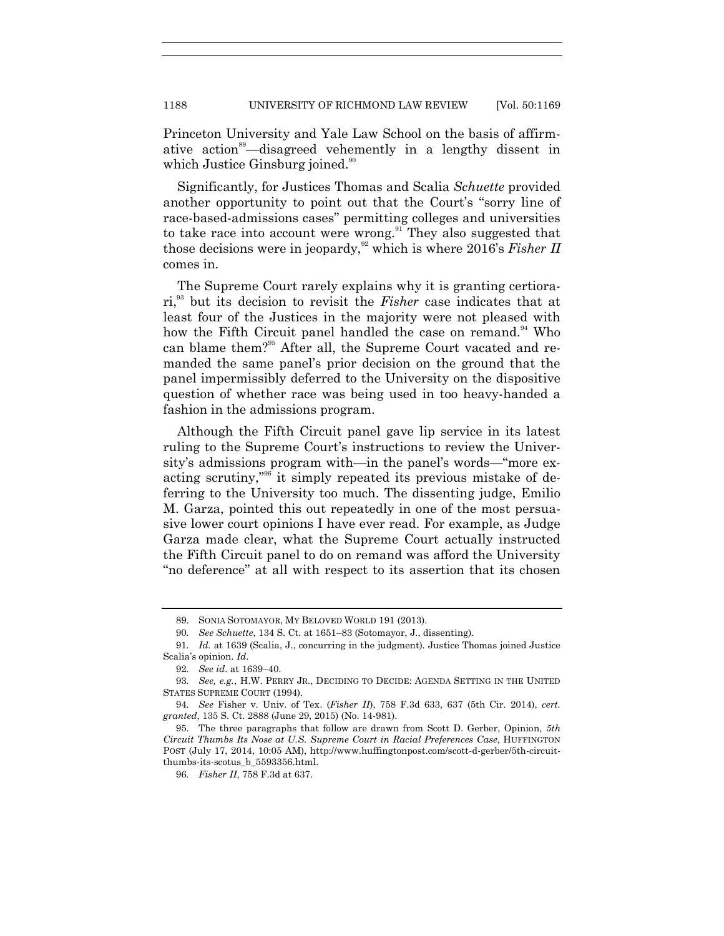Princeton University and Yale Law School on the basis of affirmative action<sup>89</sup>—disagreed vehemently in a lengthy dissent in which Justice Ginsburg joined.<sup>90</sup>

Significantly, for Justices Thomas and Scalia *Schuette* provided another opportunity to point out that the Court's "sorry line of race-based-admissions cases" permitting colleges and universities to take race into account were wrong.<sup>91</sup> They also suggested that those decisions were in jeopardy,<sup>92</sup> which is where 2016's *Fisher II* comes in.

The Supreme Court rarely explains why it is granting certiorari,<sup>93</sup> but its decision to revisit the *Fisher* case indicates that at least four of the Justices in the majority were not pleased with how the Fifth Circuit panel handled the case on remand.<sup>94</sup> Who can blame them?<sup>95</sup> After all, the Supreme Court vacated and remanded the same panel's prior decision on the ground that the panel impermissibly deferred to the University on the dispositive question of whether race was being used in too heavy-handed a fashion in the admissions program.

Although the Fifth Circuit panel gave lip service in its latest ruling to the Supreme Court's instructions to review the University's admissions program with—in the panel's words—"more exacting scrutiny,<sup>396</sup> it simply repeated its previous mistake of deferring to the University too much. The dissenting judge, Emilio M. Garza, pointed this out repeatedly in one of the most persuasive lower court opinions I have ever read. For example, as Judge Garza made clear, what the Supreme Court actually instructed the Fifth Circuit panel to do on remand was afford the University ―no deference‖ at all with respect to its assertion that its chosen

<sup>89.</sup> SONIA SOTOMAYOR, MY BELOVED WORLD 191 (2013).

<sup>90</sup>*. See Schuette*, 134 S. Ct. at 1651–83 (Sotomayor, J., dissenting).

<sup>91</sup>*. Id.* at 1639 (Scalia, J., concurring in the judgment). Justice Thomas joined Justice Scalia's opinion. *Id*.

<sup>92</sup>*. See id*. at 1639–40.

<sup>93</sup>*. See, e.g.*, H.W. PERRY JR., DECIDING TO DECIDE: AGENDA SETTING IN THE UNITED STATES SUPREME COURT (1994).

<sup>94</sup>*. See* Fisher v. Univ. of Tex. (*Fisher II*), 758 F.3d 633, 637 (5th Cir. 2014), *cert. granted*, 135 S. Ct. 2888 (June 29, 2015) (No. 14-981).

<sup>95.</sup> The three paragraphs that follow are drawn from Scott D. Gerber, Opinion, *5th Circuit Thumbs Its Nose at U.S. Supreme Court in Racial Preferences Case*, HUFFINGTON POST (July 17, 2014, 10:05 AM), http://www.huffingtonpost.com/scott-d-gerber/5th-circuitthumbs-its-scotus\_b\_5593356.html.

<sup>96</sup>*. Fisher II*, 758 F.3d at 637.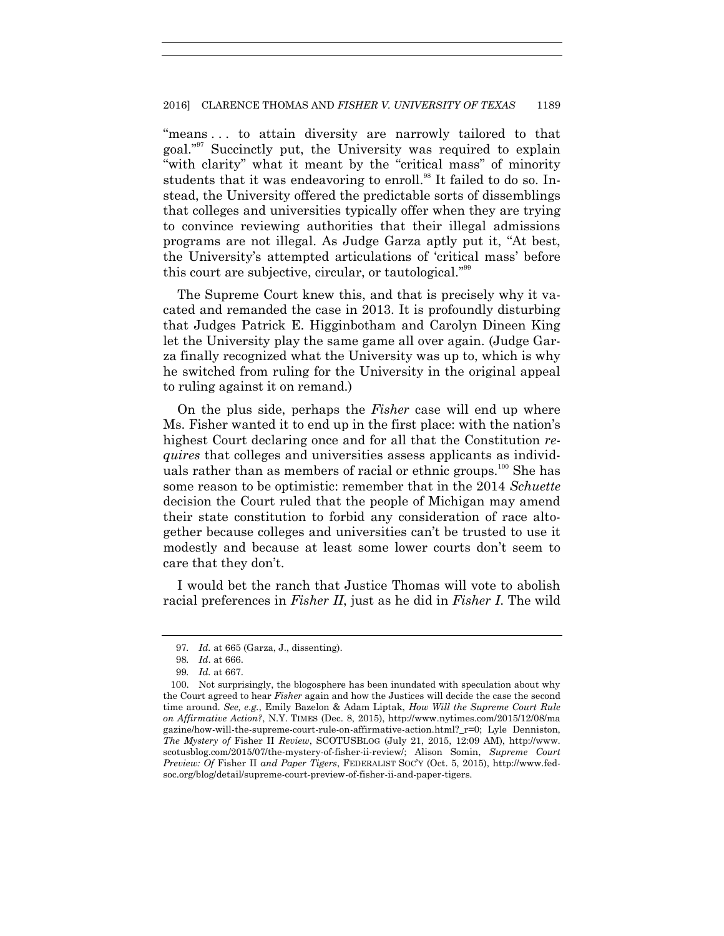"means ... to attain diversity are narrowly tailored to that goal."<sup>97</sup> Succinctly put, the University was required to explain "with clarity" what it meant by the "critical mass" of minority students that it was endeavoring to enroll.<sup>98</sup> It failed to do so. Instead, the University offered the predictable sorts of dissemblings that colleges and universities typically offer when they are trying to convince reviewing authorities that their illegal admissions programs are not illegal. As Judge Garza aptly put it, "At best, the University's attempted articulations of ‗critical mass' before this court are subjective, circular, or tautological."<sup>99</sup>

The Supreme Court knew this, and that is precisely why it vacated and remanded the case in 2013. It is profoundly disturbing that Judges Patrick E. Higginbotham and Carolyn Dineen King let the University play the same game all over again. (Judge Garza finally recognized what the University was up to, which is why he switched from ruling for the University in the original appeal to ruling against it on remand.)

On the plus side, perhaps the *Fisher* case will end up where Ms. Fisher wanted it to end up in the first place: with the nation's highest Court declaring once and for all that the Constitution *requires* that colleges and universities assess applicants as individuals rather than as members of racial or ethnic groups.<sup>100</sup> She has some reason to be optimistic: remember that in the 2014 *Schuette* decision the Court ruled that the people of Michigan may amend their state constitution to forbid any consideration of race altogether because colleges and universities can't be trusted to use it modestly and because at least some lower courts don't seem to care that they don't.

I would bet the ranch that Justice Thomas will vote to abolish racial preferences in *Fisher II*, just as he did in *Fisher I*. The wild

<sup>97</sup>*. Id.* at 665 (Garza, J., dissenting).

<sup>98</sup>*. Id*. at 666.

<sup>99</sup>*. Id.* at 667.

<sup>100.</sup> Not surprisingly, the blogosphere has been inundated with speculation about why the Court agreed to hear *Fisher* again and how the Justices will decide the case the second time around. *See, e.g.*, Emily Bazelon & Adam Liptak, *How Will the Supreme Court Rule on Affirmative Action?*, N.Y. TIMES (Dec. 8, 2015), http://www.nytimes.com/2015/12/08/ma gazine/how-will-the-supreme-court-rule-on-affirmative-action.html?\_r=0; Lyle Denniston, *The Mystery of* Fisher II *Review*, SCOTUSBLOG (July 21, 2015, 12:09 AM), http://www. scotusblog.com/2015/07/the-mystery-of-fisher-ii-review/; Alison Somin, *Supreme Court Preview: Of* Fisher II *and Paper Tigers*, FEDERALIST SOC'Y (Oct. 5, 2015), http://www.fedsoc.org/blog/detail/supreme-court-preview-of-fisher-ii-and-paper-tigers.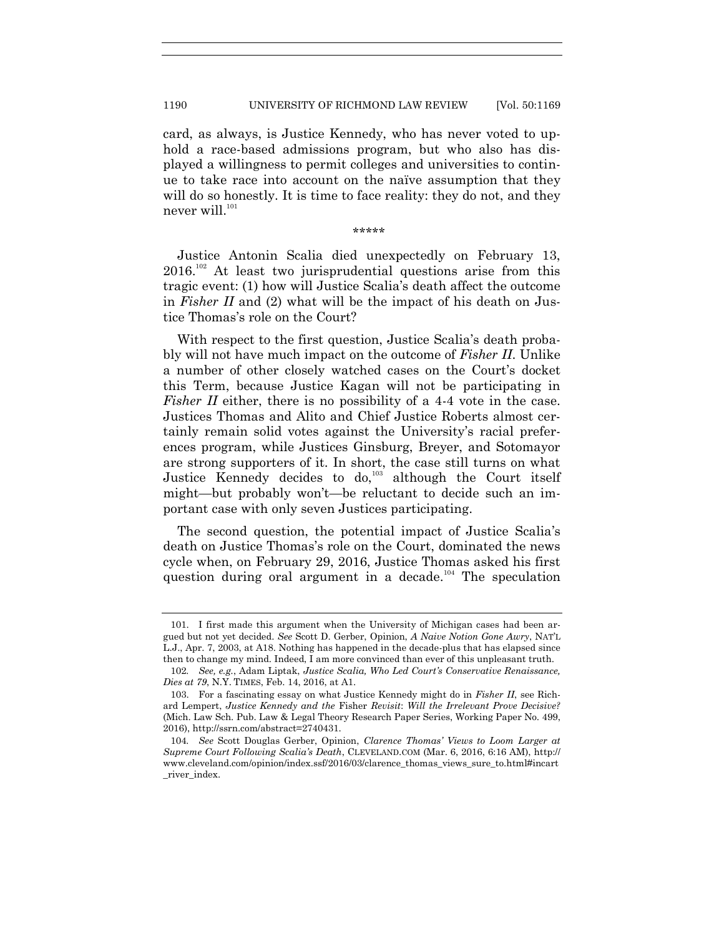card, as always, is Justice Kennedy, who has never voted to uphold a race-based admissions program, but who also has displayed a willingness to permit colleges and universities to continue to take race into account on the naïve assumption that they will do so honestly. It is time to face reality: they do not, and they never will.<sup>101</sup>

\*\*\*\*\*

Justice Antonin Scalia died unexpectedly on February 13,  $2016$ <sup>102</sup> At least two jurisprudential questions arise from this tragic event: (1) how will Justice Scalia's death affect the outcome in *Fisher II* and (2) what will be the impact of his death on Justice Thomas's role on the Court?

With respect to the first question, Justice Scalia's death probably will not have much impact on the outcome of *Fisher II*. Unlike a number of other closely watched cases on the Court's docket this Term, because Justice Kagan will not be participating in *Fisher II* either, there is no possibility of a 4-4 vote in the case. Justices Thomas and Alito and Chief Justice Roberts almost certainly remain solid votes against the University's racial preferences program, while Justices Ginsburg, Breyer, and Sotomayor are strong supporters of it. In short, the case still turns on what Justice Kennedy decides to do,<sup>103</sup> although the Court itself might—but probably won't—be reluctant to decide such an important case with only seven Justices participating.

The second question, the potential impact of Justice Scalia's death on Justice Thomas's role on the Court, dominated the news cycle when, on February 29, 2016, Justice Thomas asked his first question during oral argument in a decade.<sup>104</sup> The speculation

<sup>101.</sup> I first made this argument when the University of Michigan cases had been argued but not yet decided. *See* Scott D. Gerber, Opinion, *A Naive Notion Gone Awry*, NAT'L L.J., Apr. 7, 2003, at A18. Nothing has happened in the decade-plus that has elapsed since then to change my mind. Indeed, I am more convinced than ever of this unpleasant truth.

<sup>102</sup>*. See, e.g.*, Adam Liptak, *Justice Scalia, Who Led Court's Conservative Renaissance, Dies at 79*, N.Y. TIMES, Feb. 14, 2016, at A1.

<sup>103.</sup> For a fascinating essay on what Justice Kennedy might do in *Fisher II*, see Richard Lempert, *Justice Kennedy and the* Fisher *Revisit*: *Will the Irrelevant Prove Decisive?* (Mich. Law Sch. Pub. Law & Legal Theory Research Paper Series, Working Paper No. 499, 2016), http://ssrn.com/abstract=2740431.

<sup>104</sup>*. See* Scott Douglas Gerber, Opinion, *Clarence Thomas' Views to Loom Larger at Supreme Court Following Scalia's Death*, CLEVELAND.COM (Mar. 6, 2016, 6:16 AM), http:// www.cleveland.com/opinion/index.ssf/2016/03/clarence\_thomas\_views\_sure\_to.html#incart \_river\_index.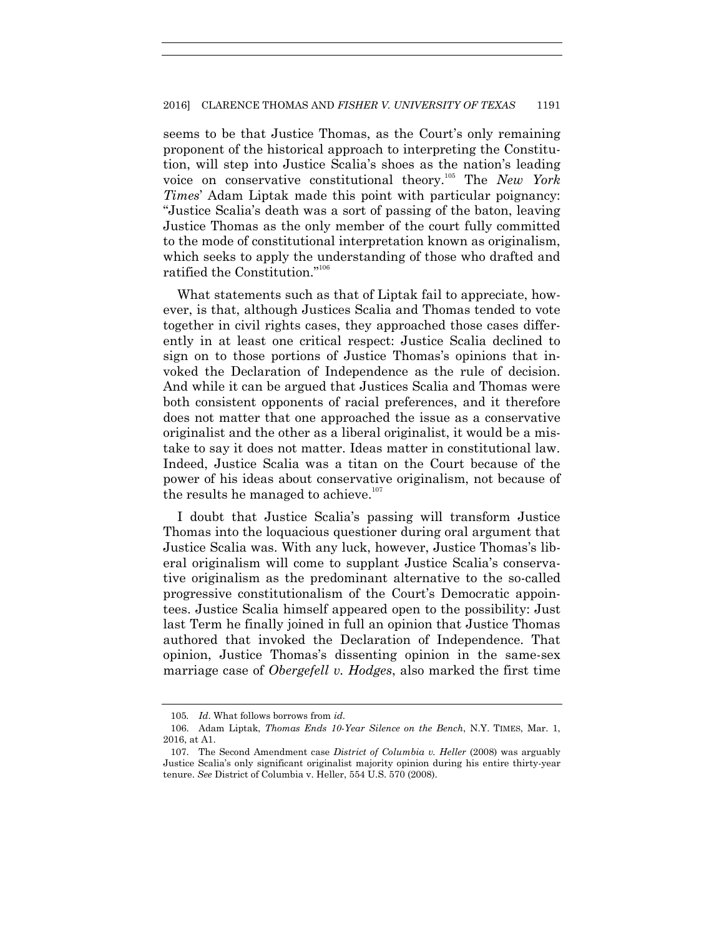seems to be that Justice Thomas, as the Court's only remaining proponent of the historical approach to interpreting the Constitution, will step into Justice Scalia's shoes as the nation's leading voice on conservative constitutional theory.<sup>105</sup> The *New York Times*' Adam Liptak made this point with particular poignancy: ―Justice Scalia's death was a sort of passing of the baton, leaving Justice Thomas as the only member of the court fully committed to the mode of constitutional interpretation known as originalism, which seeks to apply the understanding of those who drafted and ratified the Constitution."<sup>106</sup>

What statements such as that of Liptak fail to appreciate, however, is that, although Justices Scalia and Thomas tended to vote together in civil rights cases, they approached those cases differently in at least one critical respect: Justice Scalia declined to sign on to those portions of Justice Thomas's opinions that invoked the Declaration of Independence as the rule of decision. And while it can be argued that Justices Scalia and Thomas were both consistent opponents of racial preferences, and it therefore does not matter that one approached the issue as a conservative originalist and the other as a liberal originalist, it would be a mistake to say it does not matter. Ideas matter in constitutional law. Indeed, Justice Scalia was a titan on the Court because of the power of his ideas about conservative originalism, not because of the results he managed to achieve.<sup>107</sup>

I doubt that Justice Scalia's passing will transform Justice Thomas into the loquacious questioner during oral argument that Justice Scalia was. With any luck, however, Justice Thomas's liberal originalism will come to supplant Justice Scalia's conservative originalism as the predominant alternative to the so-called progressive constitutionalism of the Court's Democratic appointees. Justice Scalia himself appeared open to the possibility: Just last Term he finally joined in full an opinion that Justice Thomas authored that invoked the Declaration of Independence. That opinion, Justice Thomas's dissenting opinion in the same-sex marriage case of *Obergefell v. Hodges*, also marked the first time

<sup>105</sup>*. Id*. What follows borrows from *id*.

<sup>106.</sup> Adam Liptak, *Thomas Ends 10-Year Silence on the Bench*, N.Y. TIMES, Mar. 1, 2016, at A1.

<sup>107.</sup> The Second Amendment case *District of Columbia v. Heller* (2008) was arguably Justice Scalia's only significant originalist majority opinion during his entire thirty-year tenure. *See* District of Columbia v. Heller, 554 U.S. 570 (2008).